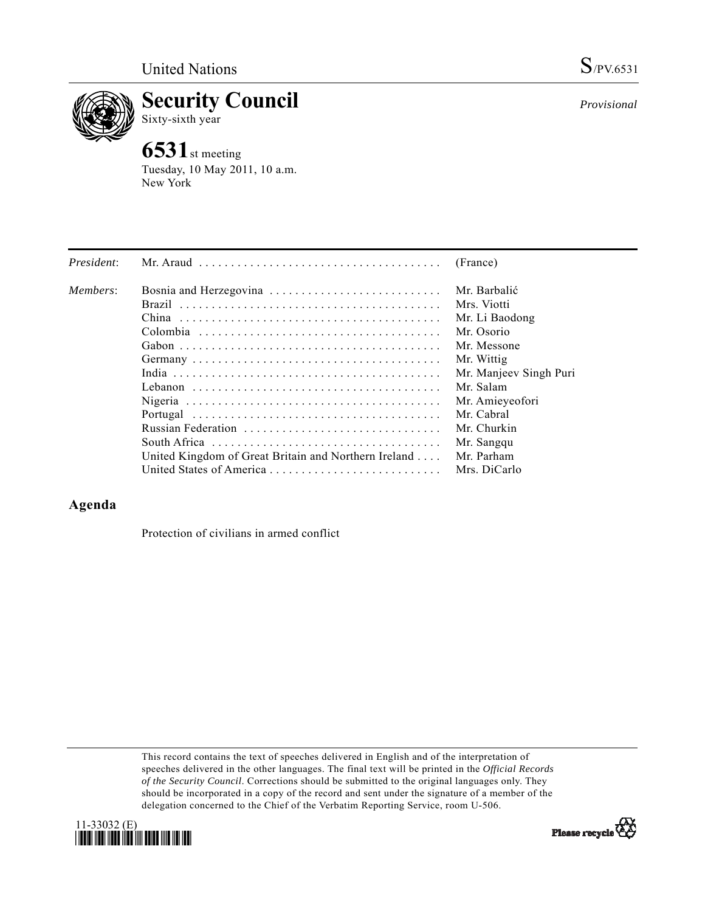

**Security Council**  Sixty-sixth year

# **6531**st meeting

Tuesday, 10 May 2011, 10 a.m. New York

| President: | Mr. Araud $\ldots \ldots \ldots \ldots \ldots \ldots \ldots \ldots \ldots \ldots \ldots$ | (France)               |
|------------|------------------------------------------------------------------------------------------|------------------------|
| Members:   |                                                                                          | Mr. Barbalić           |
|            |                                                                                          | Mrs. Viotti            |
|            |                                                                                          | Mr. Li Baodong         |
|            |                                                                                          | Mr. Osorio             |
|            |                                                                                          | Mr. Messone            |
|            |                                                                                          | Mr. Wittig             |
|            |                                                                                          | Mr. Manjeev Singh Puri |
|            |                                                                                          | Mr. Salam              |
|            |                                                                                          | Mr. Amieyeofori        |
|            |                                                                                          | Mr. Cabral             |
|            | Russian Federation                                                                       | Mr. Churkin            |
|            |                                                                                          | Mr. Sangqu             |
|            | United Kingdom of Great Britain and Northern Ireland                                     | Mr. Parham             |
|            | United States of America                                                                 | Mrs. DiCarlo           |

## **Agenda**

Protection of civilians in armed conflict

This record contains the text of speeches delivered in English and of the interpretation of speeches delivered in the other languages. The final text will be printed in the *Official Records of the Security Council*. Corrections should be submitted to the original languages only. They should be incorporated in a copy of the record and sent under the signature of a member of the delegation concerned to the Chief of the Verbatim Reporting Service, room U-506.





*Provisional*

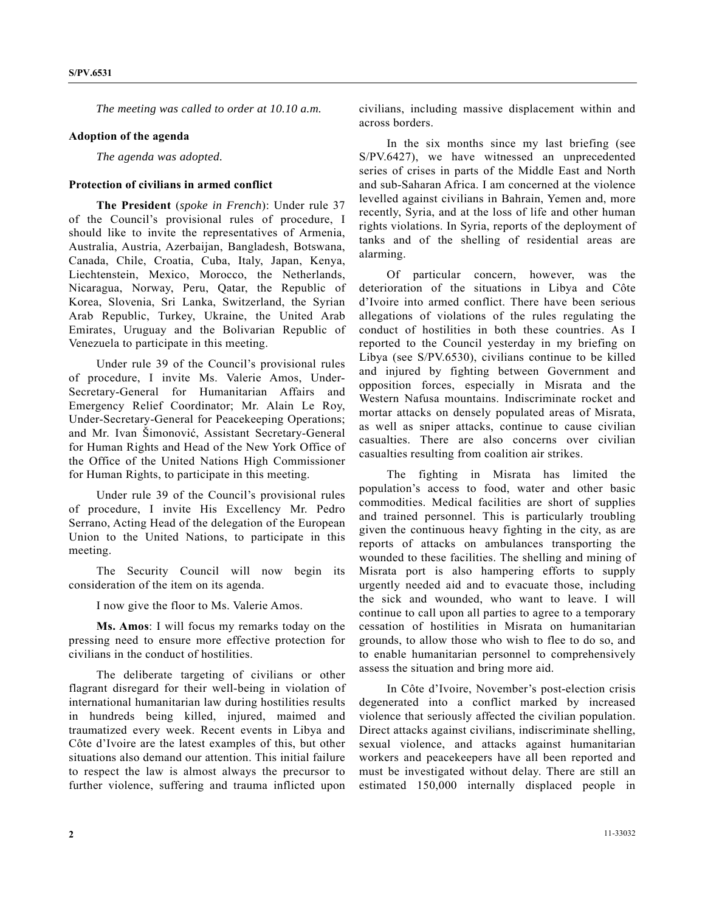*The meeting was called to order at 10.10 a.m.* 

#### **Adoption of the agenda**

 *The agenda was adopted.* 

#### **Protection of civilians in armed conflict**

**The President** (*spoke in French*): Under rule 37 of the Council's provisional rules of procedure, I should like to invite the representatives of Armenia, Australia, Austria, Azerbaijan, Bangladesh, Botswana, Canada, Chile, Croatia, Cuba, Italy, Japan, Kenya, Liechtenstein, Mexico, Morocco, the Netherlands, Nicaragua, Norway, Peru, Qatar, the Republic of Korea, Slovenia, Sri Lanka, Switzerland, the Syrian Arab Republic, Turkey, Ukraine, the United Arab Emirates, Uruguay and the Bolivarian Republic of Venezuela to participate in this meeting.

 Under rule 39 of the Council's provisional rules of procedure, I invite Ms. Valerie Amos, Under-Secretary-General for Humanitarian Affairs and Emergency Relief Coordinator; Mr. Alain Le Roy, Under-Secretary-General for Peacekeeping Operations; and Mr. Ivan Šimonović, Assistant Secretary-General for Human Rights and Head of the New York Office of the Office of the United Nations High Commissioner for Human Rights, to participate in this meeting.

 Under rule 39 of the Council's provisional rules of procedure, I invite His Excellency Mr. Pedro Serrano, Acting Head of the delegation of the European Union to the United Nations, to participate in this meeting.

 The Security Council will now begin its consideration of the item on its agenda.

I now give the floor to Ms. Valerie Amos.

**Ms. Amos**: I will focus my remarks today on the pressing need to ensure more effective protection for civilians in the conduct of hostilities.

 The deliberate targeting of civilians or other flagrant disregard for their well-being in violation of international humanitarian law during hostilities results in hundreds being killed, injured, maimed and traumatized every week. Recent events in Libya and Côte d'Ivoire are the latest examples of this, but other situations also demand our attention. This initial failure to respect the law is almost always the precursor to further violence, suffering and trauma inflicted upon

civilians, including massive displacement within and across borders.

 In the six months since my last briefing (see S/PV.6427), we have witnessed an unprecedented series of crises in parts of the Middle East and North and sub-Saharan Africa. I am concerned at the violence levelled against civilians in Bahrain, Yemen and, more recently, Syria, and at the loss of life and other human rights violations. In Syria, reports of the deployment of tanks and of the shelling of residential areas are alarming.

 Of particular concern, however, was the deterioration of the situations in Libya and Côte d'Ivoire into armed conflict. There have been serious allegations of violations of the rules regulating the conduct of hostilities in both these countries. As I reported to the Council yesterday in my briefing on Libya (see S/PV.6530), civilians continue to be killed and injured by fighting between Government and opposition forces, especially in Misrata and the Western Nafusa mountains. Indiscriminate rocket and mortar attacks on densely populated areas of Misrata, as well as sniper attacks, continue to cause civilian casualties. There are also concerns over civilian casualties resulting from coalition air strikes.

 The fighting in Misrata has limited the population's access to food, water and other basic commodities. Medical facilities are short of supplies and trained personnel. This is particularly troubling given the continuous heavy fighting in the city, as are reports of attacks on ambulances transporting the wounded to these facilities. The shelling and mining of Misrata port is also hampering efforts to supply urgently needed aid and to evacuate those, including the sick and wounded, who want to leave. I will continue to call upon all parties to agree to a temporary cessation of hostilities in Misrata on humanitarian grounds, to allow those who wish to flee to do so, and to enable humanitarian personnel to comprehensively assess the situation and bring more aid.

 In Côte d'Ivoire, November's post-election crisis degenerated into a conflict marked by increased violence that seriously affected the civilian population. Direct attacks against civilians, indiscriminate shelling, sexual violence, and attacks against humanitarian workers and peacekeepers have all been reported and must be investigated without delay. There are still an estimated 150,000 internally displaced people in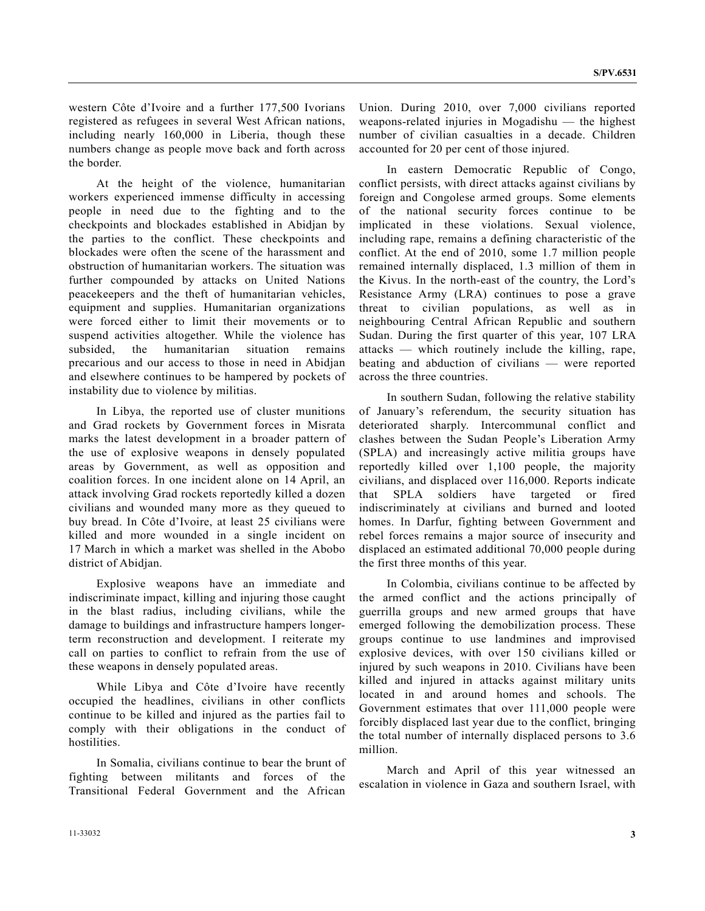western Côte d'Ivoire and a further 177,500 Ivorians registered as refugees in several West African nations, including nearly 160,000 in Liberia, though these numbers change as people move back and forth across the border.

 At the height of the violence, humanitarian workers experienced immense difficulty in accessing people in need due to the fighting and to the checkpoints and blockades established in Abidjan by the parties to the conflict. These checkpoints and blockades were often the scene of the harassment and obstruction of humanitarian workers. The situation was further compounded by attacks on United Nations peacekeepers and the theft of humanitarian vehicles, equipment and supplies. Humanitarian organizations were forced either to limit their movements or to suspend activities altogether. While the violence has subsided, the humanitarian situation remains precarious and our access to those in need in Abidjan and elsewhere continues to be hampered by pockets of instability due to violence by militias.

 In Libya, the reported use of cluster munitions and Grad rockets by Government forces in Misrata marks the latest development in a broader pattern of the use of explosive weapons in densely populated areas by Government, as well as opposition and coalition forces. In one incident alone on 14 April, an attack involving Grad rockets reportedly killed a dozen civilians and wounded many more as they queued to buy bread. In Côte d'Ivoire, at least 25 civilians were killed and more wounded in a single incident on 17 March in which a market was shelled in the Abobo district of Abidjan.

 Explosive weapons have an immediate and indiscriminate impact, killing and injuring those caught in the blast radius, including civilians, while the damage to buildings and infrastructure hampers longerterm reconstruction and development. I reiterate my call on parties to conflict to refrain from the use of these weapons in densely populated areas.

 While Libya and Côte d'Ivoire have recently occupied the headlines, civilians in other conflicts continue to be killed and injured as the parties fail to comply with their obligations in the conduct of hostilities.

 In Somalia, civilians continue to bear the brunt of fighting between militants and forces of the Transitional Federal Government and the African

Union. During 2010, over 7,000 civilians reported weapons-related injuries in Mogadishu — the highest number of civilian casualties in a decade. Children accounted for 20 per cent of those injured.

 In eastern Democratic Republic of Congo, conflict persists, with direct attacks against civilians by foreign and Congolese armed groups. Some elements of the national security forces continue to be implicated in these violations. Sexual violence, including rape, remains a defining characteristic of the conflict. At the end of 2010, some 1.7 million people remained internally displaced, 1.3 million of them in the Kivus. In the north-east of the country, the Lord's Resistance Army (LRA) continues to pose a grave threat to civilian populations, as well as in neighbouring Central African Republic and southern Sudan. During the first quarter of this year, 107 LRA attacks — which routinely include the killing, rape, beating and abduction of civilians — were reported across the three countries.

 In southern Sudan, following the relative stability of January's referendum, the security situation has deteriorated sharply. Intercommunal conflict and clashes between the Sudan People's Liberation Army (SPLA) and increasingly active militia groups have reportedly killed over 1,100 people, the majority civilians, and displaced over 116,000. Reports indicate that SPLA soldiers have targeted or fired indiscriminately at civilians and burned and looted homes. In Darfur, fighting between Government and rebel forces remains a major source of insecurity and displaced an estimated additional 70,000 people during the first three months of this year.

 In Colombia, civilians continue to be affected by the armed conflict and the actions principally of guerrilla groups and new armed groups that have emerged following the demobilization process. These groups continue to use landmines and improvised explosive devices, with over 150 civilians killed or injured by such weapons in 2010. Civilians have been killed and injured in attacks against military units located in and around homes and schools. The Government estimates that over 111,000 people were forcibly displaced last year due to the conflict, bringing the total number of internally displaced persons to 3.6 million.

 March and April of this year witnessed an escalation in violence in Gaza and southern Israel, with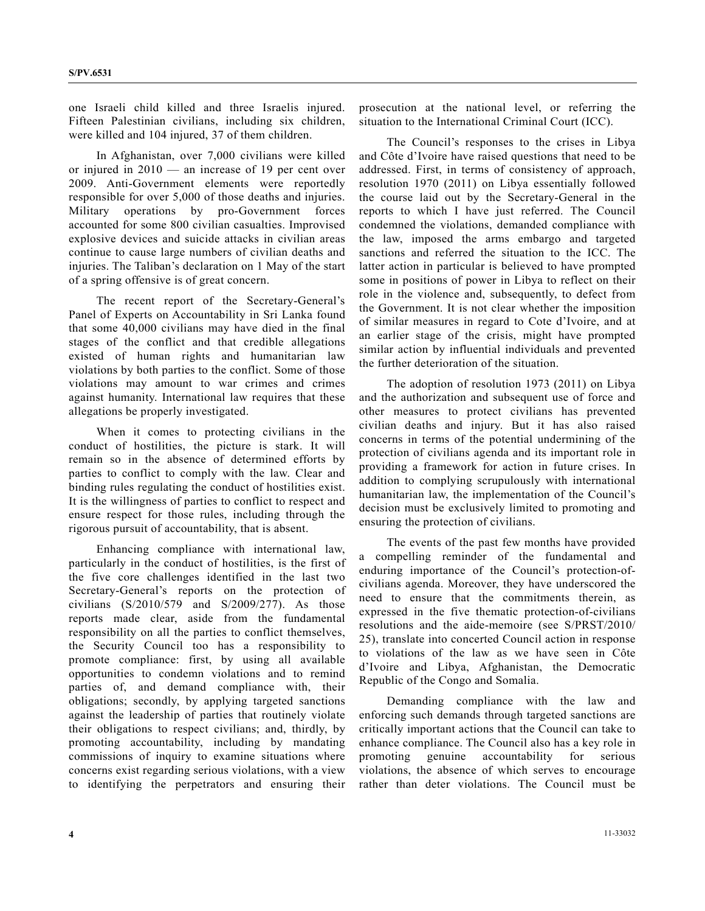one Israeli child killed and three Israelis injured. Fifteen Palestinian civilians, including six children, were killed and 104 injured, 37 of them children.

 In Afghanistan, over 7,000 civilians were killed or injured in 2010 — an increase of 19 per cent over 2009. Anti-Government elements were reportedly responsible for over 5,000 of those deaths and injuries. Military operations by pro-Government forces accounted for some 800 civilian casualties. Improvised explosive devices and suicide attacks in civilian areas continue to cause large numbers of civilian deaths and injuries. The Taliban's declaration on 1 May of the start of a spring offensive is of great concern.

 The recent report of the Secretary-General's Panel of Experts on Accountability in Sri Lanka found that some 40,000 civilians may have died in the final stages of the conflict and that credible allegations existed of human rights and humanitarian law violations by both parties to the conflict. Some of those violations may amount to war crimes and crimes against humanity. International law requires that these allegations be properly investigated.

 When it comes to protecting civilians in the conduct of hostilities, the picture is stark. It will remain so in the absence of determined efforts by parties to conflict to comply with the law. Clear and binding rules regulating the conduct of hostilities exist. It is the willingness of parties to conflict to respect and ensure respect for those rules, including through the rigorous pursuit of accountability, that is absent.

 Enhancing compliance with international law, particularly in the conduct of hostilities, is the first of the five core challenges identified in the last two Secretary-General's reports on the protection of civilians (S/2010/579 and S/2009/277). As those reports made clear, aside from the fundamental responsibility on all the parties to conflict themselves, the Security Council too has a responsibility to promote compliance: first, by using all available opportunities to condemn violations and to remind parties of, and demand compliance with, their obligations; secondly, by applying targeted sanctions against the leadership of parties that routinely violate their obligations to respect civilians; and, thirdly, by promoting accountability, including by mandating commissions of inquiry to examine situations where concerns exist regarding serious violations, with a view to identifying the perpetrators and ensuring their

prosecution at the national level, or referring the situation to the International Criminal Court (ICC).

 The Council's responses to the crises in Libya and Côte d'Ivoire have raised questions that need to be addressed. First, in terms of consistency of approach, resolution 1970 (2011) on Libya essentially followed the course laid out by the Secretary-General in the reports to which I have just referred. The Council condemned the violations, demanded compliance with the law, imposed the arms embargo and targeted sanctions and referred the situation to the ICC. The latter action in particular is believed to have prompted some in positions of power in Libya to reflect on their role in the violence and, subsequently, to defect from the Government. It is not clear whether the imposition of similar measures in regard to Cote d'Ivoire, and at an earlier stage of the crisis, might have prompted similar action by influential individuals and prevented the further deterioration of the situation.

 The adoption of resolution 1973 (2011) on Libya and the authorization and subsequent use of force and other measures to protect civilians has prevented civilian deaths and injury. But it has also raised concerns in terms of the potential undermining of the protection of civilians agenda and its important role in providing a framework for action in future crises. In addition to complying scrupulously with international humanitarian law, the implementation of the Council's decision must be exclusively limited to promoting and ensuring the protection of civilians.

 The events of the past few months have provided a compelling reminder of the fundamental and enduring importance of the Council's protection-ofcivilians agenda. Moreover, they have underscored the need to ensure that the commitments therein, as expressed in the five thematic protection-of-civilians resolutions and the aide-memoire (see S/PRST/2010/ 25), translate into concerted Council action in response to violations of the law as we have seen in Côte d'Ivoire and Libya, Afghanistan, the Democratic Republic of the Congo and Somalia.

 Demanding compliance with the law and enforcing such demands through targeted sanctions are critically important actions that the Council can take to enhance compliance. The Council also has a key role in promoting genuine accountability for serious violations, the absence of which serves to encourage rather than deter violations. The Council must be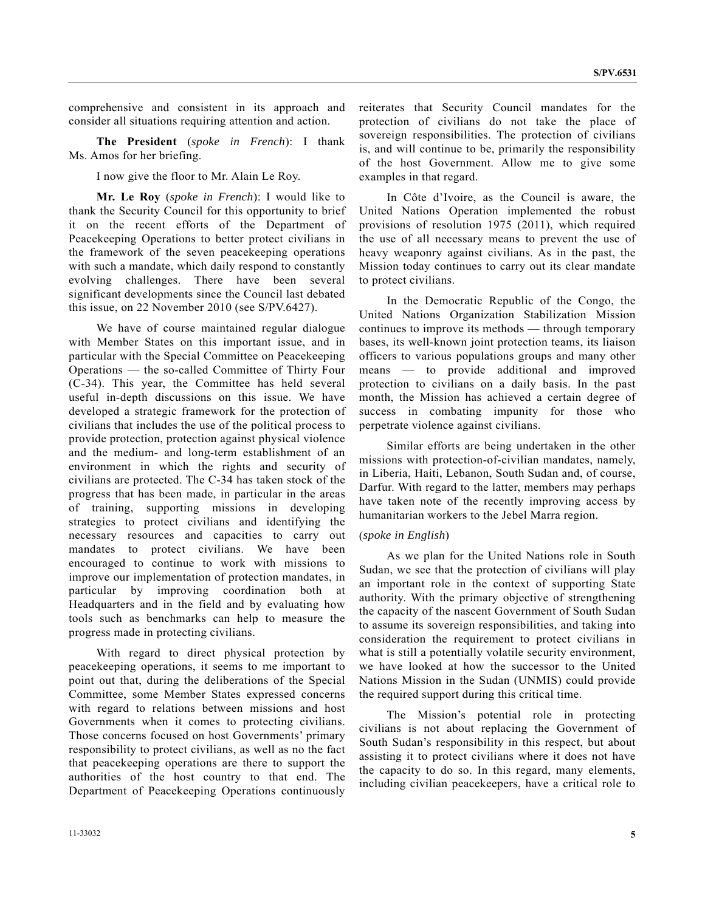comprehensive and consistent in its approach and consider all situations requiring attention and action.

**The President** (*spoke in French*): I thank Ms. Amos for her briefing.

I now give the floor to Mr. Alain Le Roy.

**Mr. Le Roy** (*spoke in French*): I would like to thank the Security Council for this opportunity to brief it on the recent efforts of the Department of Peacekeeping Operations to better protect civilians in the framework of the seven peacekeeping operations with such a mandate, which daily respond to constantly evolving challenges. There have been several significant developments since the Council last debated this issue, on 22 November 2010 (see S/PV.6427).

 We have of course maintained regular dialogue with Member States on this important issue, and in particular with the Special Committee on Peacekeeping Operations — the so-called Committee of Thirty Four (C-34). This year, the Committee has held several useful in-depth discussions on this issue. We have developed a strategic framework for the protection of civilians that includes the use of the political process to provide protection, protection against physical violence and the medium- and long-term establishment of an environment in which the rights and security of civilians are protected. The C-34 has taken stock of the progress that has been made, in particular in the areas of training, supporting missions in developing strategies to protect civilians and identifying the necessary resources and capacities to carry out mandates to protect civilians. We have been encouraged to continue to work with missions to improve our implementation of protection mandates, in particular by improving coordination both at Headquarters and in the field and by evaluating how tools such as benchmarks can help to measure the progress made in protecting civilians.

 With regard to direct physical protection by peacekeeping operations, it seems to me important to point out that, during the deliberations of the Special Committee, some Member States expressed concerns with regard to relations between missions and host Governments when it comes to protecting civilians. Those concerns focused on host Governments' primary responsibility to protect civilians, as well as no the fact that peacekeeping operations are there to support the authorities of the host country to that end. The Department of Peacekeeping Operations continuously

reiterates that Security Council mandates for the protection of civilians do not take the place of sovereign responsibilities. The protection of civilians is, and will continue to be, primarily the responsibility of the host Government. Allow me to give some examples in that regard.

 In Côte d'Ivoire, as the Council is aware, the United Nations Operation implemented the robust provisions of resolution 1975 (2011), which required the use of all necessary means to prevent the use of heavy weaponry against civilians. As in the past, the Mission today continues to carry out its clear mandate to protect civilians.

 In the Democratic Republic of the Congo, the United Nations Organization Stabilization Mission continues to improve its methods — through temporary bases, its well-known joint protection teams, its liaison officers to various populations groups and many other means — to provide additional and improved protection to civilians on a daily basis. In the past month, the Mission has achieved a certain degree of success in combating impunity for those who perpetrate violence against civilians.

 Similar efforts are being undertaken in the other missions with protection-of-civilian mandates, namely, in Liberia, Haiti, Lebanon, South Sudan and, of course, Darfur. With regard to the latter, members may perhaps have taken note of the recently improving access by humanitarian workers to the Jebel Marra region.

#### (*spoke in English*)

 As we plan for the United Nations role in South Sudan, we see that the protection of civilians will play an important role in the context of supporting State authority. With the primary objective of strengthening the capacity of the nascent Government of South Sudan to assume its sovereign responsibilities, and taking into consideration the requirement to protect civilians in what is still a potentially volatile security environment, we have looked at how the successor to the United Nations Mission in the Sudan (UNMIS) could provide the required support during this critical time.

 The Mission's potential role in protecting civilians is not about replacing the Government of South Sudan's responsibility in this respect, but about assisting it to protect civilians where it does not have the capacity to do so. In this regard, many elements, including civilian peacekeepers, have a critical role to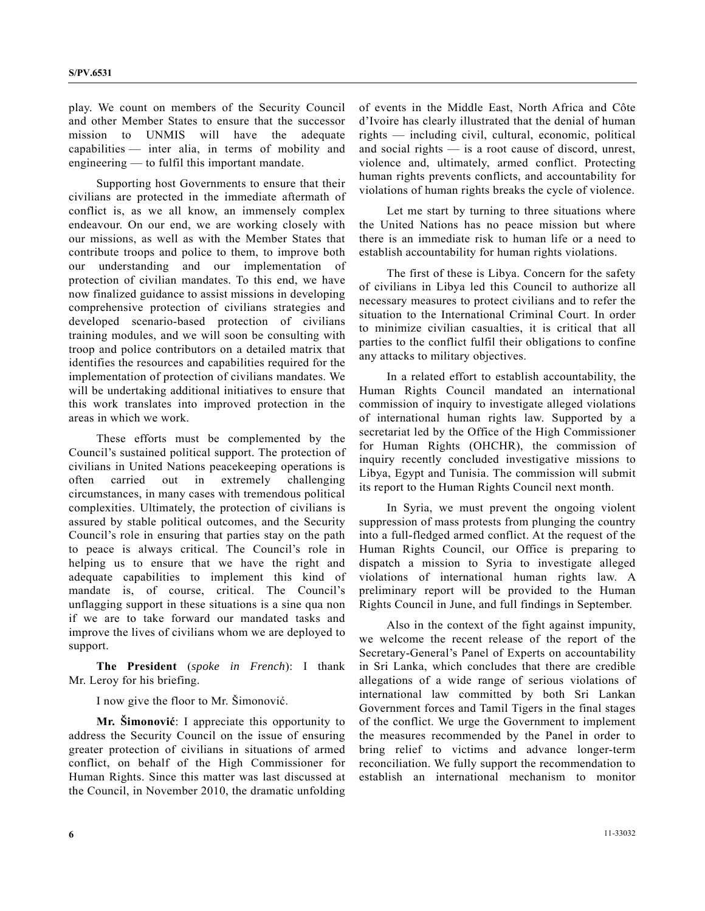play. We count on members of the Security Council and other Member States to ensure that the successor mission to UNMIS will have the adequate capabilities — inter alia, in terms of mobility and engineering — to fulfil this important mandate.

 Supporting host Governments to ensure that their civilians are protected in the immediate aftermath of conflict is, as we all know, an immensely complex endeavour. On our end, we are working closely with our missions, as well as with the Member States that contribute troops and police to them, to improve both our understanding and our implementation of protection of civilian mandates. To this end, we have now finalized guidance to assist missions in developing comprehensive protection of civilians strategies and developed scenario-based protection of civilians training modules, and we will soon be consulting with troop and police contributors on a detailed matrix that identifies the resources and capabilities required for the implementation of protection of civilians mandates. We will be undertaking additional initiatives to ensure that this work translates into improved protection in the areas in which we work.

 These efforts must be complemented by the Council's sustained political support. The protection of civilians in United Nations peacekeeping operations is often carried out in extremely challenging circumstances, in many cases with tremendous political complexities. Ultimately, the protection of civilians is assured by stable political outcomes, and the Security Council's role in ensuring that parties stay on the path to peace is always critical. The Council's role in helping us to ensure that we have the right and adequate capabilities to implement this kind of mandate is, of course, critical. The Council's unflagging support in these situations is a sine qua non if we are to take forward our mandated tasks and improve the lives of civilians whom we are deployed to support.

**The President** (*spoke in French*): I thank Mr. Leroy for his briefing.

I now give the floor to Mr. Šimonović.

**Mr. Šimonović**: I appreciate this opportunity to address the Security Council on the issue of ensuring greater protection of civilians in situations of armed conflict, on behalf of the High Commissioner for Human Rights. Since this matter was last discussed at the Council, in November 2010, the dramatic unfolding of events in the Middle East, North Africa and Côte d'Ivoire has clearly illustrated that the denial of human rights — including civil, cultural, economic, political and social rights — is a root cause of discord, unrest, violence and, ultimately, armed conflict. Protecting human rights prevents conflicts, and accountability for violations of human rights breaks the cycle of violence.

 Let me start by turning to three situations where the United Nations has no peace mission but where there is an immediate risk to human life or a need to establish accountability for human rights violations.

 The first of these is Libya. Concern for the safety of civilians in Libya led this Council to authorize all necessary measures to protect civilians and to refer the situation to the International Criminal Court. In order to minimize civilian casualties, it is critical that all parties to the conflict fulfil their obligations to confine any attacks to military objectives.

 In a related effort to establish accountability, the Human Rights Council mandated an international commission of inquiry to investigate alleged violations of international human rights law. Supported by a secretariat led by the Office of the High Commissioner for Human Rights (OHCHR), the commission of inquiry recently concluded investigative missions to Libya, Egypt and Tunisia. The commission will submit its report to the Human Rights Council next month.

 In Syria, we must prevent the ongoing violent suppression of mass protests from plunging the country into a full-fledged armed conflict. At the request of the Human Rights Council, our Office is preparing to dispatch a mission to Syria to investigate alleged violations of international human rights law. A preliminary report will be provided to the Human Rights Council in June, and full findings in September.

 Also in the context of the fight against impunity, we welcome the recent release of the report of the Secretary-General's Panel of Experts on accountability in Sri Lanka, which concludes that there are credible allegations of a wide range of serious violations of international law committed by both Sri Lankan Government forces and Tamil Tigers in the final stages of the conflict. We urge the Government to implement the measures recommended by the Panel in order to bring relief to victims and advance longer-term reconciliation. We fully support the recommendation to establish an international mechanism to monitor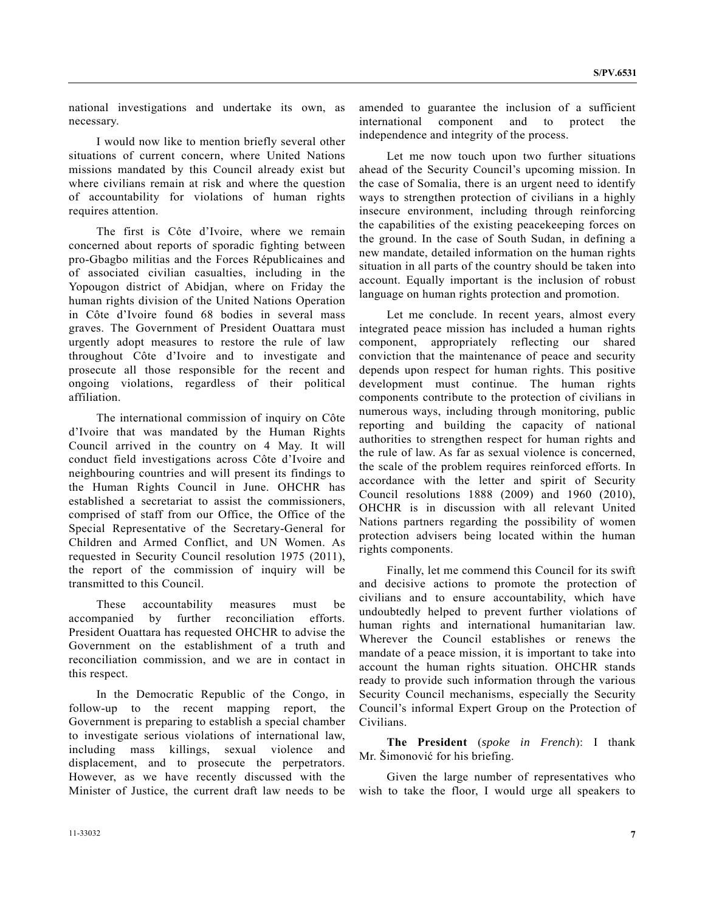national investigations and undertake its own, as necessary.

 I would now like to mention briefly several other situations of current concern, where United Nations missions mandated by this Council already exist but where civilians remain at risk and where the question of accountability for violations of human rights requires attention.

 The first is Côte d'Ivoire, where we remain concerned about reports of sporadic fighting between pro-Gbagbo militias and the Forces Républicaines and of associated civilian casualties, including in the Yopougon district of Abidjan, where on Friday the human rights division of the United Nations Operation in Côte d'Ivoire found 68 bodies in several mass graves. The Government of President Ouattara must urgently adopt measures to restore the rule of law throughout Côte d'Ivoire and to investigate and prosecute all those responsible for the recent and ongoing violations, regardless of their political affiliation.

 The international commission of inquiry on Côte d'Ivoire that was mandated by the Human Rights Council arrived in the country on 4 May. It will conduct field investigations across Côte d'Ivoire and neighbouring countries and will present its findings to the Human Rights Council in June. OHCHR has established a secretariat to assist the commissioners, comprised of staff from our Office, the Office of the Special Representative of the Secretary-General for Children and Armed Conflict, and UN Women. As requested in Security Council resolution 1975 (2011), the report of the commission of inquiry will be transmitted to this Council.

 These accountability measures must be accompanied by further reconciliation efforts. President Ouattara has requested OHCHR to advise the Government on the establishment of a truth and reconciliation commission, and we are in contact in this respect.

 In the Democratic Republic of the Congo, in follow-up to the recent mapping report, the Government is preparing to establish a special chamber to investigate serious violations of international law, including mass killings, sexual violence and displacement, and to prosecute the perpetrators. However, as we have recently discussed with the Minister of Justice, the current draft law needs to be

amended to guarantee the inclusion of a sufficient international component and to protect the independence and integrity of the process.

 Let me now touch upon two further situations ahead of the Security Council's upcoming mission. In the case of Somalia, there is an urgent need to identify ways to strengthen protection of civilians in a highly insecure environment, including through reinforcing the capabilities of the existing peacekeeping forces on the ground. In the case of South Sudan, in defining a new mandate, detailed information on the human rights situation in all parts of the country should be taken into account. Equally important is the inclusion of robust language on human rights protection and promotion.

 Let me conclude. In recent years, almost every integrated peace mission has included a human rights component, appropriately reflecting our shared conviction that the maintenance of peace and security depends upon respect for human rights. This positive development must continue. The human rights components contribute to the protection of civilians in numerous ways, including through monitoring, public reporting and building the capacity of national authorities to strengthen respect for human rights and the rule of law. As far as sexual violence is concerned, the scale of the problem requires reinforced efforts. In accordance with the letter and spirit of Security Council resolutions 1888 (2009) and 1960 (2010), OHCHR is in discussion with all relevant United Nations partners regarding the possibility of women protection advisers being located within the human rights components.

 Finally, let me commend this Council for its swift and decisive actions to promote the protection of civilians and to ensure accountability, which have undoubtedly helped to prevent further violations of human rights and international humanitarian law. Wherever the Council establishes or renews the mandate of a peace mission, it is important to take into account the human rights situation. OHCHR stands ready to provide such information through the various Security Council mechanisms, especially the Security Council's informal Expert Group on the Protection of Civilians.

**The President** (*spoke in French*): I thank Mr. Šimonović for his briefing.

 Given the large number of representatives who wish to take the floor, I would urge all speakers to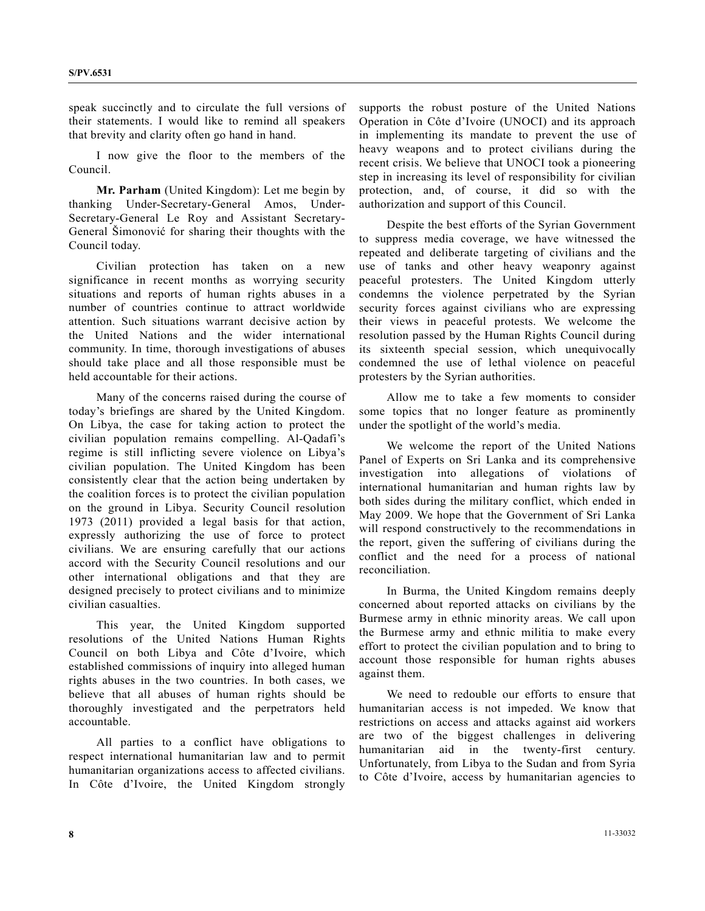speak succinctly and to circulate the full versions of their statements. I would like to remind all speakers that brevity and clarity often go hand in hand.

 I now give the floor to the members of the Council.

**Mr. Parham** (United Kingdom): Let me begin by thanking Under-Secretary-General Amos, Under-Secretary-General Le Roy and Assistant Secretary-General Šimonović for sharing their thoughts with the Council today.

 Civilian protection has taken on a new significance in recent months as worrying security situations and reports of human rights abuses in a number of countries continue to attract worldwide attention. Such situations warrant decisive action by the United Nations and the wider international community. In time, thorough investigations of abuses should take place and all those responsible must be held accountable for their actions.

 Many of the concerns raised during the course of today's briefings are shared by the United Kingdom. On Libya, the case for taking action to protect the civilian population remains compelling. Al-Qadafi's regime is still inflicting severe violence on Libya's civilian population. The United Kingdom has been consistently clear that the action being undertaken by the coalition forces is to protect the civilian population on the ground in Libya. Security Council resolution 1973 (2011) provided a legal basis for that action, expressly authorizing the use of force to protect civilians. We are ensuring carefully that our actions accord with the Security Council resolutions and our other international obligations and that they are designed precisely to protect civilians and to minimize civilian casualties.

 This year, the United Kingdom supported resolutions of the United Nations Human Rights Council on both Libya and Côte d'Ivoire, which established commissions of inquiry into alleged human rights abuses in the two countries. In both cases, we believe that all abuses of human rights should be thoroughly investigated and the perpetrators held accountable.

 All parties to a conflict have obligations to respect international humanitarian law and to permit humanitarian organizations access to affected civilians. In Côte d'Ivoire, the United Kingdom strongly

supports the robust posture of the United Nations Operation in Côte d'Ivoire (UNOCI) and its approach in implementing its mandate to prevent the use of heavy weapons and to protect civilians during the recent crisis. We believe that UNOCI took a pioneering step in increasing its level of responsibility for civilian protection, and, of course, it did so with the authorization and support of this Council.

 Despite the best efforts of the Syrian Government to suppress media coverage, we have witnessed the repeated and deliberate targeting of civilians and the use of tanks and other heavy weaponry against peaceful protesters. The United Kingdom utterly condemns the violence perpetrated by the Syrian security forces against civilians who are expressing their views in peaceful protests. We welcome the resolution passed by the Human Rights Council during its sixteenth special session, which unequivocally condemned the use of lethal violence on peaceful protesters by the Syrian authorities.

 Allow me to take a few moments to consider some topics that no longer feature as prominently under the spotlight of the world's media.

 We welcome the report of the United Nations Panel of Experts on Sri Lanka and its comprehensive investigation into allegations of violations of international humanitarian and human rights law by both sides during the military conflict, which ended in May 2009. We hope that the Government of Sri Lanka will respond constructively to the recommendations in the report, given the suffering of civilians during the conflict and the need for a process of national reconciliation.

 In Burma, the United Kingdom remains deeply concerned about reported attacks on civilians by the Burmese army in ethnic minority areas. We call upon the Burmese army and ethnic militia to make every effort to protect the civilian population and to bring to account those responsible for human rights abuses against them.

 We need to redouble our efforts to ensure that humanitarian access is not impeded. We know that restrictions on access and attacks against aid workers are two of the biggest challenges in delivering humanitarian aid in the twenty-first century. Unfortunately, from Libya to the Sudan and from Syria to Côte d'Ivoire, access by humanitarian agencies to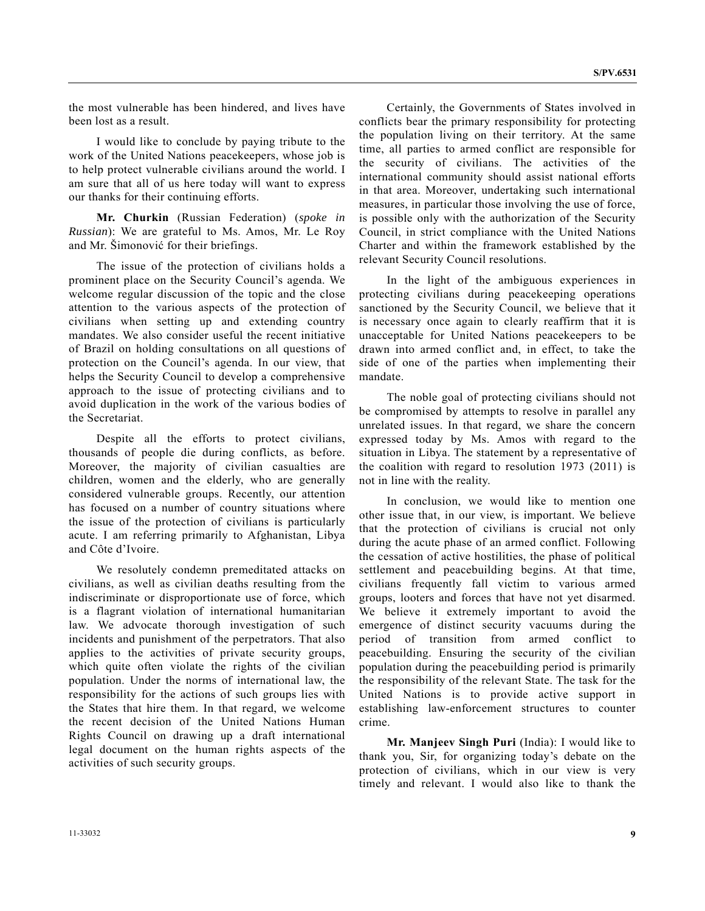the most vulnerable has been hindered, and lives have been lost as a result.

 I would like to conclude by paying tribute to the work of the United Nations peacekeepers, whose job is to help protect vulnerable civilians around the world. I am sure that all of us here today will want to express our thanks for their continuing efforts.

**Mr. Churkin** (Russian Federation) (*spoke in Russian*): We are grateful to Ms. Amos, Mr. Le Roy and Mr. Šimonović for their briefings.

 The issue of the protection of civilians holds a prominent place on the Security Council's agenda. We welcome regular discussion of the topic and the close attention to the various aspects of the protection of civilians when setting up and extending country mandates. We also consider useful the recent initiative of Brazil on holding consultations on all questions of protection on the Council's agenda. In our view, that helps the Security Council to develop a comprehensive approach to the issue of protecting civilians and to avoid duplication in the work of the various bodies of the Secretariat.

 Despite all the efforts to protect civilians, thousands of people die during conflicts, as before. Moreover, the majority of civilian casualties are children, women and the elderly, who are generally considered vulnerable groups. Recently, our attention has focused on a number of country situations where the issue of the protection of civilians is particularly acute. I am referring primarily to Afghanistan, Libya and Côte d'Ivoire.

 We resolutely condemn premeditated attacks on civilians, as well as civilian deaths resulting from the indiscriminate or disproportionate use of force, which is a flagrant violation of international humanitarian law. We advocate thorough investigation of such incidents and punishment of the perpetrators. That also applies to the activities of private security groups, which quite often violate the rights of the civilian population. Under the norms of international law, the responsibility for the actions of such groups lies with the States that hire them. In that regard, we welcome the recent decision of the United Nations Human Rights Council on drawing up a draft international legal document on the human rights aspects of the activities of such security groups.

 Certainly, the Governments of States involved in conflicts bear the primary responsibility for protecting the population living on their territory. At the same time, all parties to armed conflict are responsible for the security of civilians. The activities of the international community should assist national efforts in that area. Moreover, undertaking such international measures, in particular those involving the use of force, is possible only with the authorization of the Security Council, in strict compliance with the United Nations Charter and within the framework established by the relevant Security Council resolutions.

 In the light of the ambiguous experiences in protecting civilians during peacekeeping operations sanctioned by the Security Council, we believe that it is necessary once again to clearly reaffirm that it is unacceptable for United Nations peacekeepers to be drawn into armed conflict and, in effect, to take the side of one of the parties when implementing their mandate.

 The noble goal of protecting civilians should not be compromised by attempts to resolve in parallel any unrelated issues. In that regard, we share the concern expressed today by Ms. Amos with regard to the situation in Libya. The statement by a representative of the coalition with regard to resolution 1973 (2011) is not in line with the reality.

 In conclusion, we would like to mention one other issue that, in our view, is important. We believe that the protection of civilians is crucial not only during the acute phase of an armed conflict. Following the cessation of active hostilities, the phase of political settlement and peacebuilding begins. At that time, civilians frequently fall victim to various armed groups, looters and forces that have not yet disarmed. We believe it extremely important to avoid the emergence of distinct security vacuums during the period of transition from armed conflict to peacebuilding. Ensuring the security of the civilian population during the peacebuilding period is primarily the responsibility of the relevant State. The task for the United Nations is to provide active support in establishing law-enforcement structures to counter crime.

**Mr. Manjeev Singh Puri** (India): I would like to thank you, Sir, for organizing today's debate on the protection of civilians, which in our view is very timely and relevant. I would also like to thank the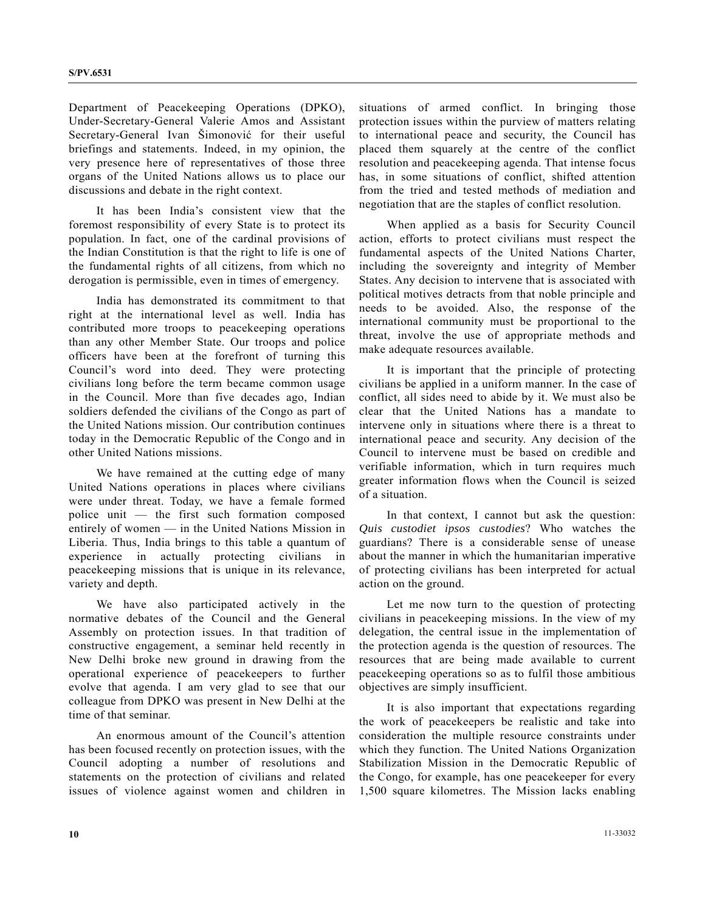Department of Peacekeeping Operations (DPKO), Under-Secretary-General Valerie Amos and Assistant Secretary-General Ivan Šimonović for their useful briefings and statements. Indeed, in my opinion, the very presence here of representatives of those three organs of the United Nations allows us to place our discussions and debate in the right context.

 It has been India's consistent view that the foremost responsibility of every State is to protect its population. In fact, one of the cardinal provisions of the Indian Constitution is that the right to life is one of the fundamental rights of all citizens, from which no derogation is permissible, even in times of emergency.

 India has demonstrated its commitment to that right at the international level as well. India has contributed more troops to peacekeeping operations than any other Member State. Our troops and police officers have been at the forefront of turning this Council's word into deed. They were protecting civilians long before the term became common usage in the Council. More than five decades ago, Indian soldiers defended the civilians of the Congo as part of the United Nations mission. Our contribution continues today in the Democratic Republic of the Congo and in other United Nations missions.

 We have remained at the cutting edge of many United Nations operations in places where civilians were under threat. Today, we have a female formed police unit — the first such formation composed entirely of women — in the United Nations Mission in Liberia. Thus, India brings to this table a quantum of experience in actually protecting civilians in peacekeeping missions that is unique in its relevance, variety and depth.

 We have also participated actively in the normative debates of the Council and the General Assembly on protection issues. In that tradition of constructive engagement, a seminar held recently in New Delhi broke new ground in drawing from the operational experience of peacekeepers to further evolve that agenda. I am very glad to see that our colleague from DPKO was present in New Delhi at the time of that seminar.

 An enormous amount of the Council's attention has been focused recently on protection issues, with the Council adopting a number of resolutions and statements on the protection of civilians and related issues of violence against women and children in situations of armed conflict. In bringing those protection issues within the purview of matters relating to international peace and security, the Council has placed them squarely at the centre of the conflict resolution and peacekeeping agenda. That intense focus has, in some situations of conflict, shifted attention from the tried and tested methods of mediation and negotiation that are the staples of conflict resolution.

 When applied as a basis for Security Council action, efforts to protect civilians must respect the fundamental aspects of the United Nations Charter, including the sovereignty and integrity of Member States. Any decision to intervene that is associated with political motives detracts from that noble principle and needs to be avoided. Also, the response of the international community must be proportional to the threat, involve the use of appropriate methods and make adequate resources available.

 It is important that the principle of protecting civilians be applied in a uniform manner. In the case of conflict, all sides need to abide by it. We must also be clear that the United Nations has a mandate to intervene only in situations where there is a threat to international peace and security. Any decision of the Council to intervene must be based on credible and verifiable information, which in turn requires much greater information flows when the Council is seized of a situation.

 In that context, I cannot but ask the question: *Quis custodiet ipsos custodies*? Who watches the guardians? There is a considerable sense of unease about the manner in which the humanitarian imperative of protecting civilians has been interpreted for actual action on the ground.

 Let me now turn to the question of protecting civilians in peacekeeping missions. In the view of my delegation, the central issue in the implementation of the protection agenda is the question of resources. The resources that are being made available to current peacekeeping operations so as to fulfil those ambitious objectives are simply insufficient.

 It is also important that expectations regarding the work of peacekeepers be realistic and take into consideration the multiple resource constraints under which they function. The United Nations Organization Stabilization Mission in the Democratic Republic of the Congo, for example, has one peacekeeper for every 1,500 square kilometres. The Mission lacks enabling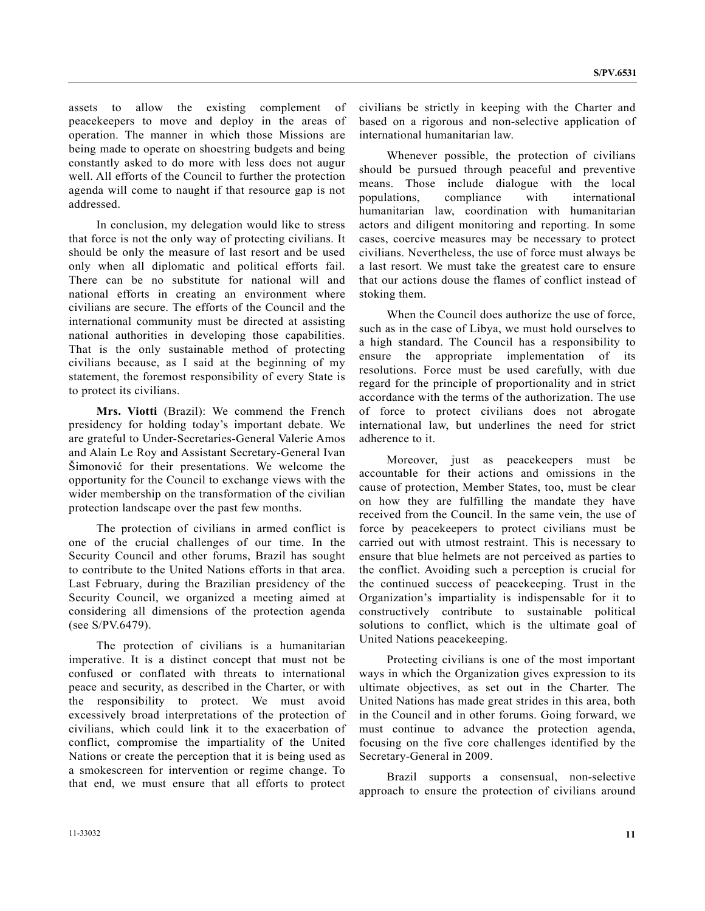assets to allow the existing complement of peacekeepers to move and deploy in the areas of operation. The manner in which those Missions are being made to operate on shoestring budgets and being constantly asked to do more with less does not augur well. All efforts of the Council to further the protection agenda will come to naught if that resource gap is not addressed.

 In conclusion, my delegation would like to stress that force is not the only way of protecting civilians. It should be only the measure of last resort and be used only when all diplomatic and political efforts fail. There can be no substitute for national will and national efforts in creating an environment where civilians are secure. The efforts of the Council and the international community must be directed at assisting national authorities in developing those capabilities. That is the only sustainable method of protecting civilians because, as I said at the beginning of my statement, the foremost responsibility of every State is to protect its civilians.

**Mrs. Viotti** (Brazil): We commend the French presidency for holding today's important debate. We are grateful to Under-Secretaries-General Valerie Amos and Alain Le Roy and Assistant Secretary-General Ivan Šimonović for their presentations. We welcome the opportunity for the Council to exchange views with the wider membership on the transformation of the civilian protection landscape over the past few months.

 The protection of civilians in armed conflict is one of the crucial challenges of our time. In the Security Council and other forums, Brazil has sought to contribute to the United Nations efforts in that area. Last February, during the Brazilian presidency of the Security Council, we organized a meeting aimed at considering all dimensions of the protection agenda (see S/PV.6479).

 The protection of civilians is a humanitarian imperative. It is a distinct concept that must not be confused or conflated with threats to international peace and security, as described in the Charter, or with the responsibility to protect. We must avoid excessively broad interpretations of the protection of civilians, which could link it to the exacerbation of conflict, compromise the impartiality of the United Nations or create the perception that it is being used as a smokescreen for intervention or regime change. To that end, we must ensure that all efforts to protect

civilians be strictly in keeping with the Charter and based on a rigorous and non-selective application of international humanitarian law.

 Whenever possible, the protection of civilians should be pursued through peaceful and preventive means. Those include dialogue with the local populations, compliance with international humanitarian law, coordination with humanitarian actors and diligent monitoring and reporting. In some cases, coercive measures may be necessary to protect civilians. Nevertheless, the use of force must always be a last resort. We must take the greatest care to ensure that our actions douse the flames of conflict instead of stoking them.

 When the Council does authorize the use of force, such as in the case of Libya, we must hold ourselves to a high standard. The Council has a responsibility to ensure the appropriate implementation of its resolutions. Force must be used carefully, with due regard for the principle of proportionality and in strict accordance with the terms of the authorization. The use of force to protect civilians does not abrogate international law, but underlines the need for strict adherence to it.

 Moreover, just as peacekeepers must be accountable for their actions and omissions in the cause of protection, Member States, too, must be clear on how they are fulfilling the mandate they have received from the Council. In the same vein, the use of force by peacekeepers to protect civilians must be carried out with utmost restraint. This is necessary to ensure that blue helmets are not perceived as parties to the conflict. Avoiding such a perception is crucial for the continued success of peacekeeping. Trust in the Organization's impartiality is indispensable for it to constructively contribute to sustainable political solutions to conflict, which is the ultimate goal of United Nations peacekeeping.

 Protecting civilians is one of the most important ways in which the Organization gives expression to its ultimate objectives, as set out in the Charter. The United Nations has made great strides in this area, both in the Council and in other forums. Going forward, we must continue to advance the protection agenda, focusing on the five core challenges identified by the Secretary-General in 2009.

 Brazil supports a consensual, non-selective approach to ensure the protection of civilians around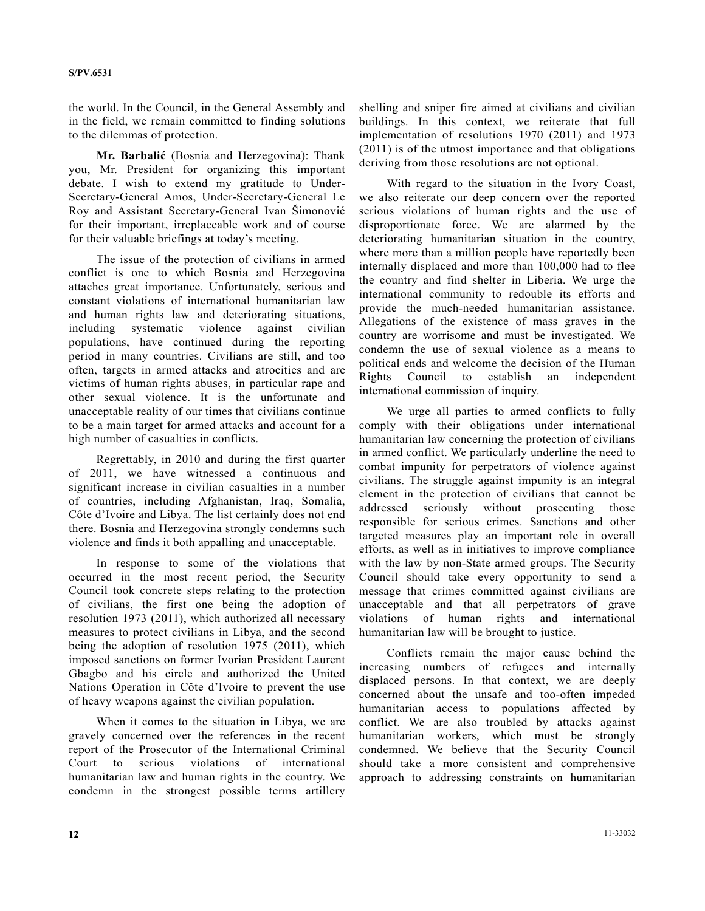the world. In the Council, in the General Assembly and in the field, we remain committed to finding solutions to the dilemmas of protection.

**Mr. Barbalić** (Bosnia and Herzegovina): Thank you, Mr. President for organizing this important debate. I wish to extend my gratitude to Under-Secretary-General Amos, Under-Secretary-General Le Roy and Assistant Secretary-General Ivan Šimonović for their important, irreplaceable work and of course for their valuable briefings at today's meeting.

 The issue of the protection of civilians in armed conflict is one to which Bosnia and Herzegovina attaches great importance. Unfortunately, serious and constant violations of international humanitarian law and human rights law and deteriorating situations, including systematic violence against civilian populations, have continued during the reporting period in many countries. Civilians are still, and too often, targets in armed attacks and atrocities and are victims of human rights abuses, in particular rape and other sexual violence. It is the unfortunate and unacceptable reality of our times that civilians continue to be a main target for armed attacks and account for a high number of casualties in conflicts.

 Regrettably, in 2010 and during the first quarter of 2011, we have witnessed a continuous and significant increase in civilian casualties in a number of countries, including Afghanistan, Iraq, Somalia, Côte d'Ivoire and Libya. The list certainly does not end there. Bosnia and Herzegovina strongly condemns such violence and finds it both appalling and unacceptable.

 In response to some of the violations that occurred in the most recent period, the Security Council took concrete steps relating to the protection of civilians, the first one being the adoption of resolution 1973 (2011), which authorized all necessary measures to protect civilians in Libya, and the second being the adoption of resolution 1975 (2011), which imposed sanctions on former Ivorian President Laurent Gbagbo and his circle and authorized the United Nations Operation in Côte d'Ivoire to prevent the use of heavy weapons against the civilian population.

 When it comes to the situation in Libya, we are gravely concerned over the references in the recent report of the Prosecutor of the International Criminal Court to serious violations of international humanitarian law and human rights in the country. We condemn in the strongest possible terms artillery shelling and sniper fire aimed at civilians and civilian buildings. In this context, we reiterate that full implementation of resolutions 1970 (2011) and 1973 (2011) is of the utmost importance and that obligations deriving from those resolutions are not optional.

 With regard to the situation in the Ivory Coast, we also reiterate our deep concern over the reported serious violations of human rights and the use of disproportionate force. We are alarmed by the deteriorating humanitarian situation in the country, where more than a million people have reportedly been internally displaced and more than 100,000 had to flee the country and find shelter in Liberia. We urge the international community to redouble its efforts and provide the much-needed humanitarian assistance. Allegations of the existence of mass graves in the country are worrisome and must be investigated. We condemn the use of sexual violence as a means to political ends and welcome the decision of the Human Rights Council to establish an independent international commission of inquiry.

 We urge all parties to armed conflicts to fully comply with their obligations under international humanitarian law concerning the protection of civilians in armed conflict. We particularly underline the need to combat impunity for perpetrators of violence against civilians. The struggle against impunity is an integral element in the protection of civilians that cannot be addressed seriously without prosecuting those responsible for serious crimes. Sanctions and other targeted measures play an important role in overall efforts, as well as in initiatives to improve compliance with the law by non-State armed groups. The Security Council should take every opportunity to send a message that crimes committed against civilians are unacceptable and that all perpetrators of grave violations of human rights and international humanitarian law will be brought to justice.

 Conflicts remain the major cause behind the increasing numbers of refugees and internally displaced persons. In that context, we are deeply concerned about the unsafe and too-often impeded humanitarian access to populations affected by conflict. We are also troubled by attacks against humanitarian workers, which must be strongly condemned. We believe that the Security Council should take a more consistent and comprehensive approach to addressing constraints on humanitarian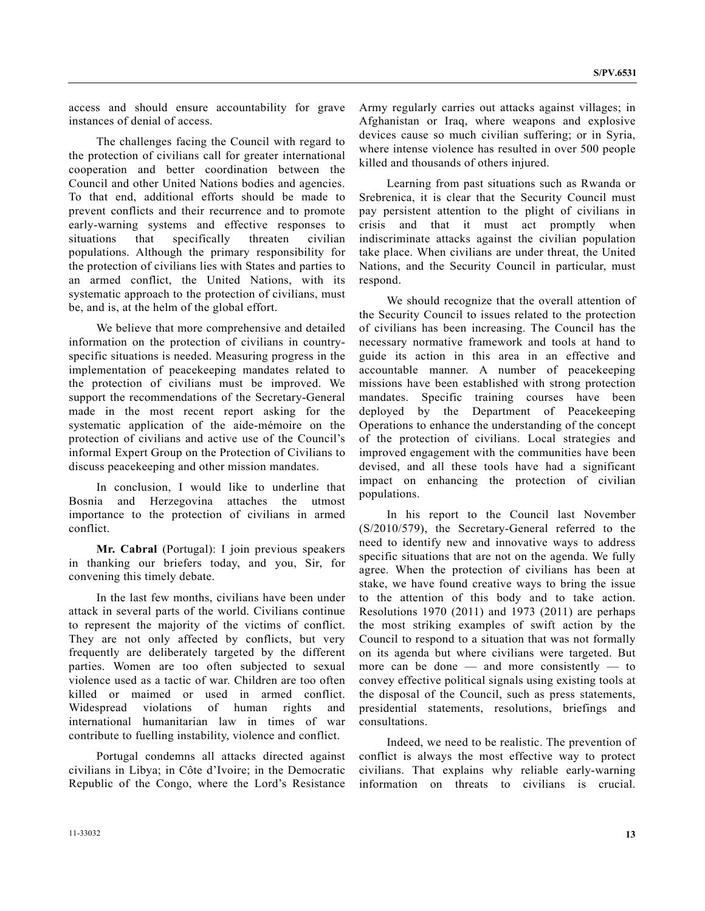access and should ensure accountability for grave instances of denial of access.

 The challenges facing the Council with regard to the protection of civilians call for greater international cooperation and better coordination between the Council and other United Nations bodies and agencies. To that end, additional efforts should be made to prevent conflicts and their recurrence and to promote early-warning systems and effective responses to situations that specifically threaten civilian populations. Although the primary responsibility for the protection of civilians lies with States and parties to an armed conflict, the United Nations, with its systematic approach to the protection of civilians, must be, and is, at the helm of the global effort.

 We believe that more comprehensive and detailed information on the protection of civilians in countryspecific situations is needed. Measuring progress in the implementation of peacekeeping mandates related to the protection of civilians must be improved. We support the recommendations of the Secretary-General made in the most recent report asking for the systematic application of the aide-mémoire on the protection of civilians and active use of the Council's informal Expert Group on the Protection of Civilians to discuss peacekeeping and other mission mandates.

 In conclusion, I would like to underline that Bosnia and Herzegovina attaches the utmost importance to the protection of civilians in armed conflict.

**Mr. Cabral** (Portugal): I join previous speakers in thanking our briefers today, and you, Sir, for convening this timely debate.

 In the last few months, civilians have been under attack in several parts of the world. Civilians continue to represent the majority of the victims of conflict. They are not only affected by conflicts, but very frequently are deliberately targeted by the different parties. Women are too often subjected to sexual violence used as a tactic of war. Children are too often killed or maimed or used in armed conflict. Widespread violations of human rights and international humanitarian law in times of war contribute to fuelling instability, violence and conflict.

 Portugal condemns all attacks directed against civilians in Libya; in Côte d'Ivoire; in the Democratic Republic of the Congo, where the Lord's Resistance

Army regularly carries out attacks against villages; in Afghanistan or Iraq, where weapons and explosive devices cause so much civilian suffering; or in Syria, where intense violence has resulted in over 500 people killed and thousands of others injured.

 Learning from past situations such as Rwanda or Srebrenica, it is clear that the Security Council must pay persistent attention to the plight of civilians in crisis and that it must act promptly when indiscriminate attacks against the civilian population take place. When civilians are under threat, the United Nations, and the Security Council in particular, must respond.

 We should recognize that the overall attention of the Security Council to issues related to the protection of civilians has been increasing. The Council has the necessary normative framework and tools at hand to guide its action in this area in an effective and accountable manner. A number of peacekeeping missions have been established with strong protection mandates. Specific training courses have been deployed by the Department of Peacekeeping Operations to enhance the understanding of the concept of the protection of civilians. Local strategies and improved engagement with the communities have been devised, and all these tools have had a significant impact on enhancing the protection of civilian populations.

 In his report to the Council last November (S/2010/579), the Secretary-General referred to the need to identify new and innovative ways to address specific situations that are not on the agenda. We fully agree. When the protection of civilians has been at stake, we have found creative ways to bring the issue to the attention of this body and to take action. Resolutions 1970 (2011) and 1973 (2011) are perhaps the most striking examples of swift action by the Council to respond to a situation that was not formally on its agenda but where civilians were targeted. But more can be done — and more consistently — to convey effective political signals using existing tools at the disposal of the Council, such as press statements, presidential statements, resolutions, briefings and consultations.

 Indeed, we need to be realistic. The prevention of conflict is always the most effective way to protect civilians. That explains why reliable early-warning information on threats to civilians is crucial.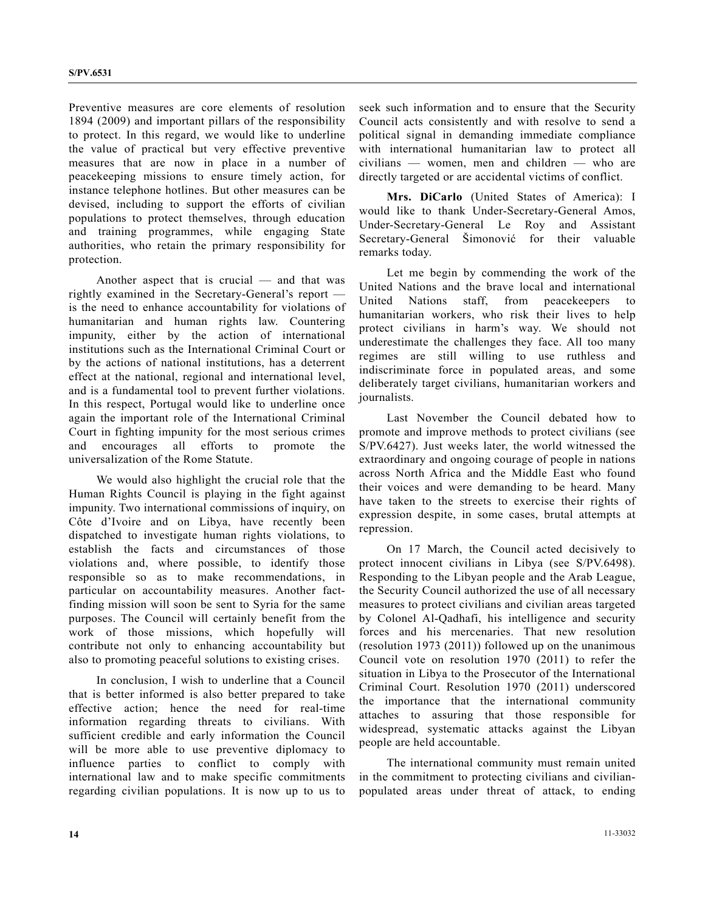Preventive measures are core elements of resolution 1894 (2009) and important pillars of the responsibility to protect. In this regard, we would like to underline the value of practical but very effective preventive measures that are now in place in a number of peacekeeping missions to ensure timely action, for instance telephone hotlines. But other measures can be devised, including to support the efforts of civilian populations to protect themselves, through education and training programmes, while engaging State authorities, who retain the primary responsibility for protection.

 Another aspect that is crucial — and that was rightly examined in the Secretary-General's report is the need to enhance accountability for violations of humanitarian and human rights law. Countering impunity, either by the action of international institutions such as the International Criminal Court or by the actions of national institutions, has a deterrent effect at the national, regional and international level, and is a fundamental tool to prevent further violations. In this respect, Portugal would like to underline once again the important role of the International Criminal Court in fighting impunity for the most serious crimes and encourages all efforts to promote the universalization of the Rome Statute.

 We would also highlight the crucial role that the Human Rights Council is playing in the fight against impunity. Two international commissions of inquiry, on Côte d'Ivoire and on Libya, have recently been dispatched to investigate human rights violations, to establish the facts and circumstances of those violations and, where possible, to identify those responsible so as to make recommendations, in particular on accountability measures. Another factfinding mission will soon be sent to Syria for the same purposes. The Council will certainly benefit from the work of those missions, which hopefully will contribute not only to enhancing accountability but also to promoting peaceful solutions to existing crises.

 In conclusion, I wish to underline that a Council that is better informed is also better prepared to take effective action; hence the need for real-time information regarding threats to civilians. With sufficient credible and early information the Council will be more able to use preventive diplomacy to influence parties to conflict to comply with international law and to make specific commitments regarding civilian populations. It is now up to us to

seek such information and to ensure that the Security Council acts consistently and with resolve to send a political signal in demanding immediate compliance with international humanitarian law to protect all civilians — women, men and children — who are directly targeted or are accidental victims of conflict.

**Mrs. DiCarlo** (United States of America): I would like to thank Under-Secretary-General Amos, Under-Secretary-General Le Roy and Assistant Secretary-General Šimonović for their valuable remarks today.

 Let me begin by commending the work of the United Nations and the brave local and international United Nations staff, from peacekeepers to humanitarian workers, who risk their lives to help protect civilians in harm's way. We should not underestimate the challenges they face. All too many regimes are still willing to use ruthless and indiscriminate force in populated areas, and some deliberately target civilians, humanitarian workers and journalists.

 Last November the Council debated how to promote and improve methods to protect civilians (see S/PV.6427). Just weeks later, the world witnessed the extraordinary and ongoing courage of people in nations across North Africa and the Middle East who found their voices and were demanding to be heard. Many have taken to the streets to exercise their rights of expression despite, in some cases, brutal attempts at repression.

 On 17 March, the Council acted decisively to protect innocent civilians in Libya (see S/PV.6498). Responding to the Libyan people and the Arab League, the Security Council authorized the use of all necessary measures to protect civilians and civilian areas targeted by Colonel Al-Qadhafi, his intelligence and security forces and his mercenaries. That new resolution (resolution 1973 (2011)) followed up on the unanimous Council vote on resolution 1970 (2011) to refer the situation in Libya to the Prosecutor of the International Criminal Court. Resolution 1970 (2011) underscored the importance that the international community attaches to assuring that those responsible for widespread, systematic attacks against the Libyan people are held accountable.

 The international community must remain united in the commitment to protecting civilians and civilianpopulated areas under threat of attack, to ending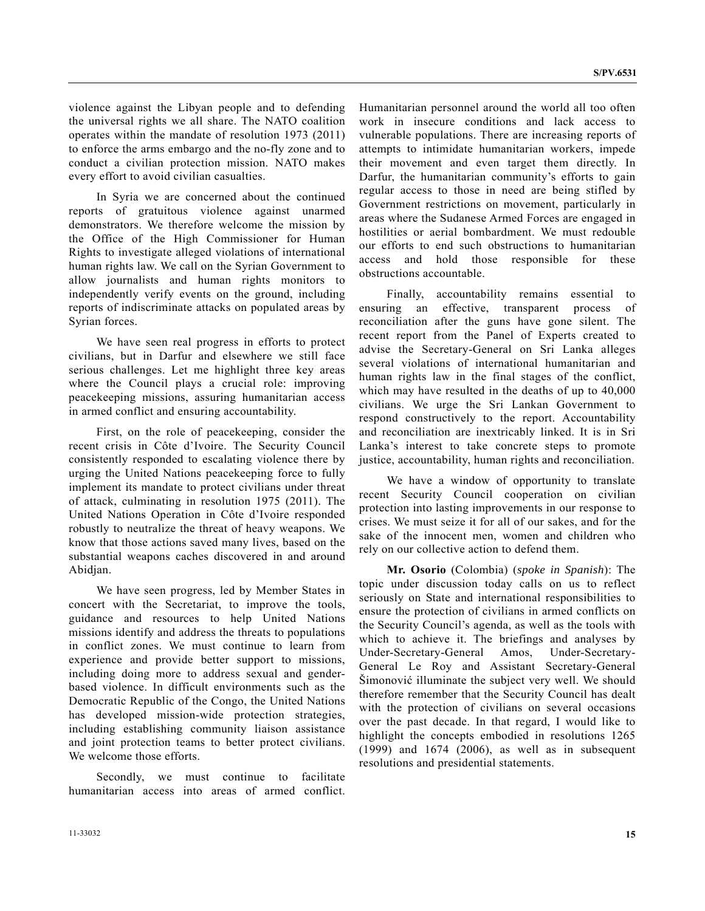violence against the Libyan people and to defending the universal rights we all share. The NATO coalition operates within the mandate of resolution 1973 (2011) to enforce the arms embargo and the no-fly zone and to conduct a civilian protection mission. NATO makes every effort to avoid civilian casualties.

 In Syria we are concerned about the continued reports of gratuitous violence against unarmed demonstrators. We therefore welcome the mission by the Office of the High Commissioner for Human Rights to investigate alleged violations of international human rights law. We call on the Syrian Government to allow journalists and human rights monitors to independently verify events on the ground, including reports of indiscriminate attacks on populated areas by Syrian forces.

 We have seen real progress in efforts to protect civilians, but in Darfur and elsewhere we still face serious challenges. Let me highlight three key areas where the Council plays a crucial role: improving peacekeeping missions, assuring humanitarian access in armed conflict and ensuring accountability.

 First, on the role of peacekeeping, consider the recent crisis in Côte d'Ivoire. The Security Council consistently responded to escalating violence there by urging the United Nations peacekeeping force to fully implement its mandate to protect civilians under threat of attack, culminating in resolution 1975 (2011). The United Nations Operation in Côte d'Ivoire responded robustly to neutralize the threat of heavy weapons. We know that those actions saved many lives, based on the substantial weapons caches discovered in and around Abidjan.

 We have seen progress, led by Member States in concert with the Secretariat, to improve the tools, guidance and resources to help United Nations missions identify and address the threats to populations in conflict zones. We must continue to learn from experience and provide better support to missions, including doing more to address sexual and genderbased violence. In difficult environments such as the Democratic Republic of the Congo, the United Nations has developed mission-wide protection strategies, including establishing community liaison assistance and joint protection teams to better protect civilians. We welcome those efforts.

 Secondly, we must continue to facilitate humanitarian access into areas of armed conflict. Humanitarian personnel around the world all too often work in insecure conditions and lack access to vulnerable populations. There are increasing reports of attempts to intimidate humanitarian workers, impede their movement and even target them directly. In Darfur, the humanitarian community's efforts to gain regular access to those in need are being stifled by Government restrictions on movement, particularly in areas where the Sudanese Armed Forces are engaged in hostilities or aerial bombardment. We must redouble our efforts to end such obstructions to humanitarian access and hold those responsible for these obstructions accountable.

 Finally, accountability remains essential to ensuring an effective, transparent process of reconciliation after the guns have gone silent. The recent report from the Panel of Experts created to advise the Secretary-General on Sri Lanka alleges several violations of international humanitarian and human rights law in the final stages of the conflict, which may have resulted in the deaths of up to 40,000 civilians. We urge the Sri Lankan Government to respond constructively to the report. Accountability and reconciliation are inextricably linked. It is in Sri Lanka's interest to take concrete steps to promote justice, accountability, human rights and reconciliation.

 We have a window of opportunity to translate recent Security Council cooperation on civilian protection into lasting improvements in our response to crises. We must seize it for all of our sakes, and for the sake of the innocent men, women and children who rely on our collective action to defend them.

**Mr. Osorio** (Colombia) (*spoke in Spanish*): The topic under discussion today calls on us to reflect seriously on State and international responsibilities to ensure the protection of civilians in armed conflicts on the Security Council's agenda, as well as the tools with which to achieve it. The briefings and analyses by Under-Secretary-General Amos, Under-Secretary-General Le Roy and Assistant Secretary-General Šimonović illuminate the subject very well. We should therefore remember that the Security Council has dealt with the protection of civilians on several occasions over the past decade. In that regard, I would like to highlight the concepts embodied in resolutions 1265 (1999) and 1674 (2006), as well as in subsequent resolutions and presidential statements.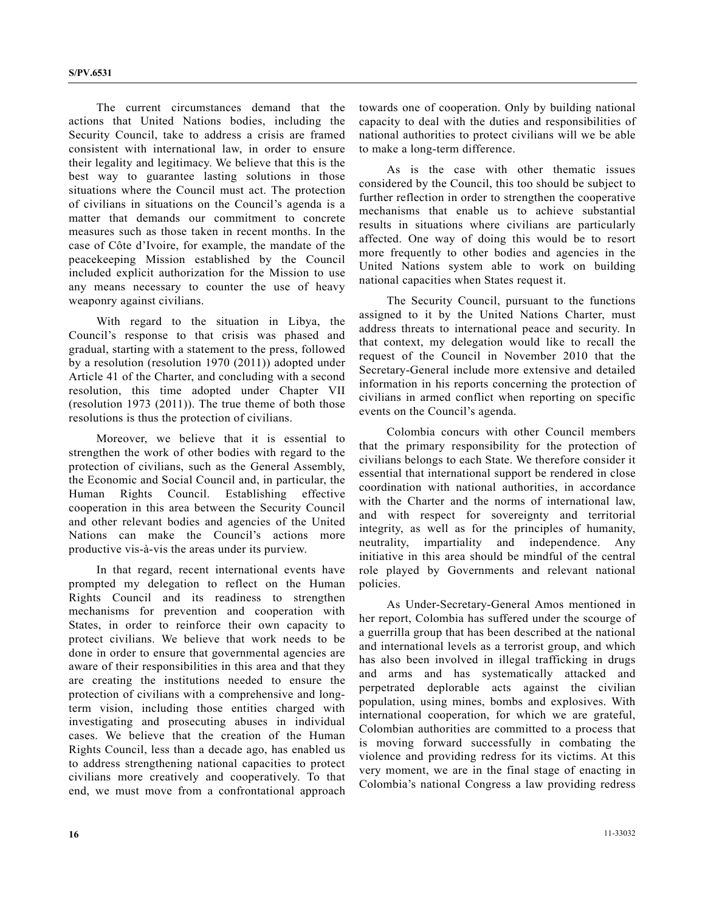The current circumstances demand that the actions that United Nations bodies, including the Security Council, take to address a crisis are framed consistent with international law, in order to ensure their legality and legitimacy. We believe that this is the best way to guarantee lasting solutions in those situations where the Council must act. The protection of civilians in situations on the Council's agenda is a matter that demands our commitment to concrete measures such as those taken in recent months. In the case of Côte d'Ivoire, for example, the mandate of the peacekeeping Mission established by the Council included explicit authorization for the Mission to use any means necessary to counter the use of heavy weaponry against civilians.

 With regard to the situation in Libya, the Council's response to that crisis was phased and gradual, starting with a statement to the press, followed by a resolution (resolution 1970 (2011)) adopted under Article 41 of the Charter, and concluding with a second resolution, this time adopted under Chapter VII (resolution 1973 (2011)). The true theme of both those resolutions is thus the protection of civilians.

 Moreover, we believe that it is essential to strengthen the work of other bodies with regard to the protection of civilians, such as the General Assembly, the Economic and Social Council and, in particular, the Human Rights Council. Establishing effective cooperation in this area between the Security Council and other relevant bodies and agencies of the United Nations can make the Council's actions more productive vis-à-vis the areas under its purview.

 In that regard, recent international events have prompted my delegation to reflect on the Human Rights Council and its readiness to strengthen mechanisms for prevention and cooperation with States, in order to reinforce their own capacity to protect civilians. We believe that work needs to be done in order to ensure that governmental agencies are aware of their responsibilities in this area and that they are creating the institutions needed to ensure the protection of civilians with a comprehensive and longterm vision, including those entities charged with investigating and prosecuting abuses in individual cases. We believe that the creation of the Human Rights Council, less than a decade ago, has enabled us to address strengthening national capacities to protect civilians more creatively and cooperatively. To that end, we must move from a confrontational approach towards one of cooperation. Only by building national capacity to deal with the duties and responsibilities of national authorities to protect civilians will we be able to make a long-term difference.

 As is the case with other thematic issues considered by the Council, this too should be subject to further reflection in order to strengthen the cooperative mechanisms that enable us to achieve substantial results in situations where civilians are particularly affected. One way of doing this would be to resort more frequently to other bodies and agencies in the United Nations system able to work on building national capacities when States request it.

 The Security Council, pursuant to the functions assigned to it by the United Nations Charter, must address threats to international peace and security. In that context, my delegation would like to recall the request of the Council in November 2010 that the Secretary-General include more extensive and detailed information in his reports concerning the protection of civilians in armed conflict when reporting on specific events on the Council's agenda.

 Colombia concurs with other Council members that the primary responsibility for the protection of civilians belongs to each State. We therefore consider it essential that international support be rendered in close coordination with national authorities, in accordance with the Charter and the norms of international law, and with respect for sovereignty and territorial integrity, as well as for the principles of humanity, neutrality, impartiality and independence. Any initiative in this area should be mindful of the central role played by Governments and relevant national policies.

 As Under-Secretary-General Amos mentioned in her report, Colombia has suffered under the scourge of a guerrilla group that has been described at the national and international levels as a terrorist group, and which has also been involved in illegal trafficking in drugs and arms and has systematically attacked and perpetrated deplorable acts against the civilian population, using mines, bombs and explosives. With international cooperation, for which we are grateful, Colombian authorities are committed to a process that is moving forward successfully in combating the violence and providing redress for its victims. At this very moment, we are in the final stage of enacting in Colombia's national Congress a law providing redress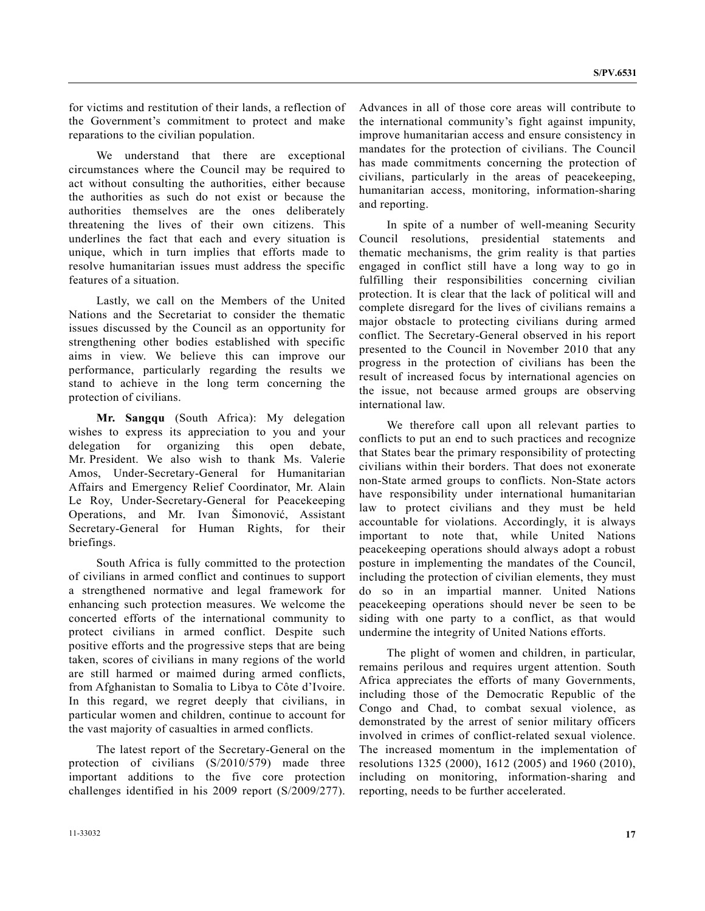for victims and restitution of their lands, a reflection of the Government's commitment to protect and make reparations to the civilian population.

 We understand that there are exceptional circumstances where the Council may be required to act without consulting the authorities, either because the authorities as such do not exist or because the authorities themselves are the ones deliberately threatening the lives of their own citizens. This underlines the fact that each and every situation is unique, which in turn implies that efforts made to resolve humanitarian issues must address the specific features of a situation.

 Lastly, we call on the Members of the United Nations and the Secretariat to consider the thematic issues discussed by the Council as an opportunity for strengthening other bodies established with specific aims in view. We believe this can improve our performance, particularly regarding the results we stand to achieve in the long term concerning the protection of civilians.

**Mr. Sangqu** (South Africa): My delegation wishes to express its appreciation to you and your delegation for organizing this open debate, Mr. President. We also wish to thank Ms. Valerie Amos, Under-Secretary-General for Humanitarian Affairs and Emergency Relief Coordinator, Mr. Alain Le Roy, Under-Secretary-General for Peacekeeping Operations, and Mr. Ivan Šimonović, Assistant Secretary-General for Human Rights, for their briefings.

 South Africa is fully committed to the protection of civilians in armed conflict and continues to support a strengthened normative and legal framework for enhancing such protection measures. We welcome the concerted efforts of the international community to protect civilians in armed conflict. Despite such positive efforts and the progressive steps that are being taken, scores of civilians in many regions of the world are still harmed or maimed during armed conflicts, from Afghanistan to Somalia to Libya to Côte d'Ivoire. In this regard, we regret deeply that civilians, in particular women and children, continue to account for the vast majority of casualties in armed conflicts.

 The latest report of the Secretary-General on the protection of civilians (S/2010/579) made three important additions to the five core protection challenges identified in his 2009 report (S/2009/277). Advances in all of those core areas will contribute to the international community's fight against impunity, improve humanitarian access and ensure consistency in mandates for the protection of civilians. The Council has made commitments concerning the protection of civilians, particularly in the areas of peacekeeping, humanitarian access, monitoring, information-sharing and reporting.

 In spite of a number of well-meaning Security Council resolutions, presidential statements and thematic mechanisms, the grim reality is that parties engaged in conflict still have a long way to go in fulfilling their responsibilities concerning civilian protection. It is clear that the lack of political will and complete disregard for the lives of civilians remains a major obstacle to protecting civilians during armed conflict. The Secretary-General observed in his report presented to the Council in November 2010 that any progress in the protection of civilians has been the result of increased focus by international agencies on the issue, not because armed groups are observing international law.

 We therefore call upon all relevant parties to conflicts to put an end to such practices and recognize that States bear the primary responsibility of protecting civilians within their borders. That does not exonerate non-State armed groups to conflicts. Non-State actors have responsibility under international humanitarian law to protect civilians and they must be held accountable for violations. Accordingly, it is always important to note that, while United Nations peacekeeping operations should always adopt a robust posture in implementing the mandates of the Council, including the protection of civilian elements, they must do so in an impartial manner. United Nations peacekeeping operations should never be seen to be siding with one party to a conflict, as that would undermine the integrity of United Nations efforts.

 The plight of women and children, in particular, remains perilous and requires urgent attention. South Africa appreciates the efforts of many Governments, including those of the Democratic Republic of the Congo and Chad, to combat sexual violence, as demonstrated by the arrest of senior military officers involved in crimes of conflict-related sexual violence. The increased momentum in the implementation of resolutions 1325 (2000), 1612 (2005) and 1960 (2010), including on monitoring, information-sharing and reporting, needs to be further accelerated.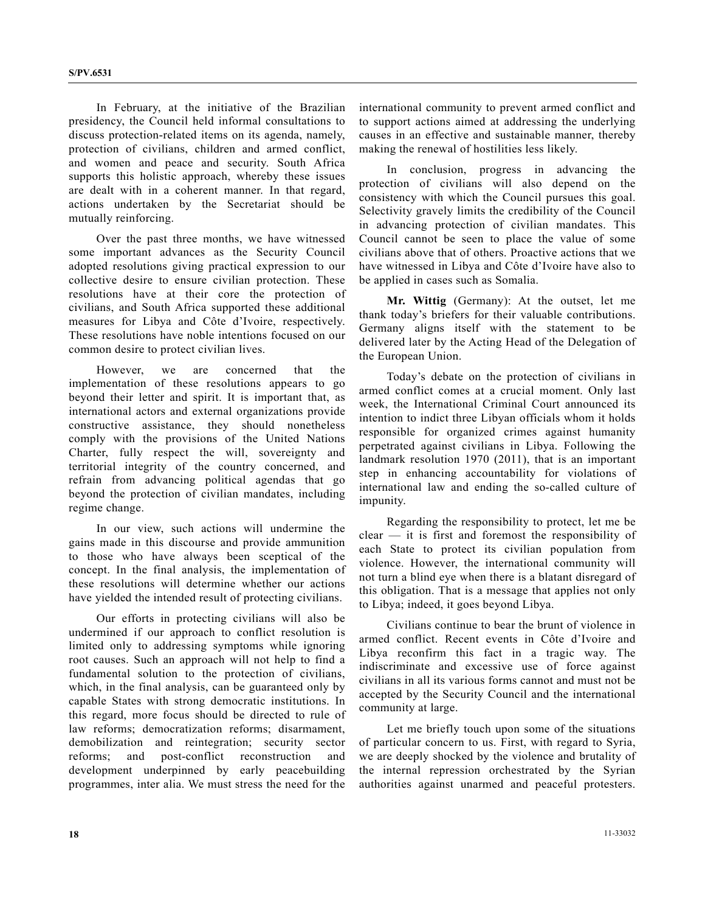In February, at the initiative of the Brazilian presidency, the Council held informal consultations to discuss protection-related items on its agenda, namely, protection of civilians, children and armed conflict, and women and peace and security. South Africa supports this holistic approach, whereby these issues are dealt with in a coherent manner. In that regard, actions undertaken by the Secretariat should be mutually reinforcing.

 Over the past three months, we have witnessed some important advances as the Security Council adopted resolutions giving practical expression to our collective desire to ensure civilian protection. These resolutions have at their core the protection of civilians, and South Africa supported these additional measures for Libya and Côte d'Ivoire, respectively. These resolutions have noble intentions focused on our common desire to protect civilian lives.

 However, we are concerned that the implementation of these resolutions appears to go beyond their letter and spirit. It is important that, as international actors and external organizations provide constructive assistance, they should nonetheless comply with the provisions of the United Nations Charter, fully respect the will, sovereignty and territorial integrity of the country concerned, and refrain from advancing political agendas that go beyond the protection of civilian mandates, including regime change.

 In our view, such actions will undermine the gains made in this discourse and provide ammunition to those who have always been sceptical of the concept. In the final analysis, the implementation of these resolutions will determine whether our actions have yielded the intended result of protecting civilians.

 Our efforts in protecting civilians will also be undermined if our approach to conflict resolution is limited only to addressing symptoms while ignoring root causes. Such an approach will not help to find a fundamental solution to the protection of civilians, which, in the final analysis, can be guaranteed only by capable States with strong democratic institutions. In this regard, more focus should be directed to rule of law reforms; democratization reforms; disarmament, demobilization and reintegration; security sector reforms; and post-conflict reconstruction and development underpinned by early peacebuilding programmes, inter alia. We must stress the need for the

international community to prevent armed conflict and to support actions aimed at addressing the underlying causes in an effective and sustainable manner, thereby making the renewal of hostilities less likely.

 In conclusion, progress in advancing the protection of civilians will also depend on the consistency with which the Council pursues this goal. Selectivity gravely limits the credibility of the Council in advancing protection of civilian mandates. This Council cannot be seen to place the value of some civilians above that of others. Proactive actions that we have witnessed in Libya and Côte d'Ivoire have also to be applied in cases such as Somalia.

**Mr. Wittig** (Germany): At the outset, let me thank today's briefers for their valuable contributions. Germany aligns itself with the statement to be delivered later by the Acting Head of the Delegation of the European Union.

 Today's debate on the protection of civilians in armed conflict comes at a crucial moment. Only last week, the International Criminal Court announced its intention to indict three Libyan officials whom it holds responsible for organized crimes against humanity perpetrated against civilians in Libya. Following the landmark resolution 1970 (2011), that is an important step in enhancing accountability for violations of international law and ending the so-called culture of impunity.

 Regarding the responsibility to protect, let me be clear — it is first and foremost the responsibility of each State to protect its civilian population from violence. However, the international community will not turn a blind eye when there is a blatant disregard of this obligation. That is a message that applies not only to Libya; indeed, it goes beyond Libya.

 Civilians continue to bear the brunt of violence in armed conflict. Recent events in Côte d'Ivoire and Libya reconfirm this fact in a tragic way. The indiscriminate and excessive use of force against civilians in all its various forms cannot and must not be accepted by the Security Council and the international community at large.

 Let me briefly touch upon some of the situations of particular concern to us. First, with regard to Syria, we are deeply shocked by the violence and brutality of the internal repression orchestrated by the Syrian authorities against unarmed and peaceful protesters.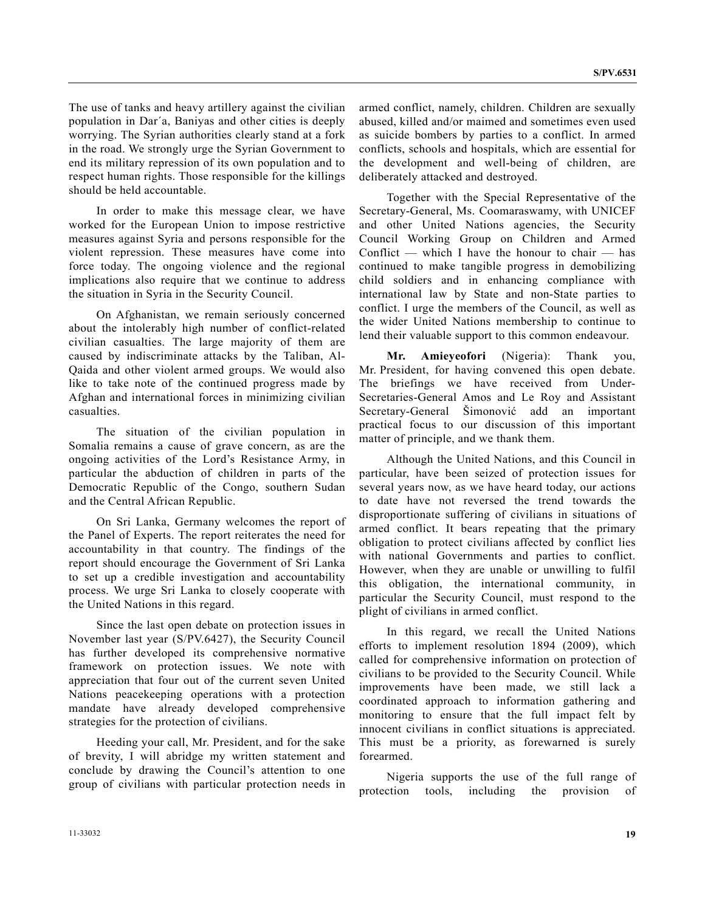The use of tanks and heavy artillery against the civilian population in Dar΄a, Baniyas and other cities is deeply worrying. The Syrian authorities clearly stand at a fork in the road. We strongly urge the Syrian Government to end its military repression of its own population and to respect human rights. Those responsible for the killings should be held accountable.

 In order to make this message clear, we have worked for the European Union to impose restrictive measures against Syria and persons responsible for the violent repression. These measures have come into force today. The ongoing violence and the regional implications also require that we continue to address the situation in Syria in the Security Council.

 On Afghanistan, we remain seriously concerned about the intolerably high number of conflict-related civilian casualties. The large majority of them are caused by indiscriminate attacks by the Taliban, Al-Qaida and other violent armed groups. We would also like to take note of the continued progress made by Afghan and international forces in minimizing civilian casualties.

 The situation of the civilian population in Somalia remains a cause of grave concern, as are the ongoing activities of the Lord's Resistance Army, in particular the abduction of children in parts of the Democratic Republic of the Congo, southern Sudan and the Central African Republic.

 On Sri Lanka, Germany welcomes the report of the Panel of Experts. The report reiterates the need for accountability in that country. The findings of the report should encourage the Government of Sri Lanka to set up a credible investigation and accountability process. We urge Sri Lanka to closely cooperate with the United Nations in this regard.

 Since the last open debate on protection issues in November last year (S/PV.6427), the Security Council has further developed its comprehensive normative framework on protection issues. We note with appreciation that four out of the current seven United Nations peacekeeping operations with a protection mandate have already developed comprehensive strategies for the protection of civilians.

 Heeding your call, Mr. President, and for the sake of brevity, I will abridge my written statement and conclude by drawing the Council's attention to one group of civilians with particular protection needs in armed conflict, namely, children. Children are sexually abused, killed and/or maimed and sometimes even used as suicide bombers by parties to a conflict. In armed conflicts, schools and hospitals, which are essential for the development and well-being of children, are deliberately attacked and destroyed.

 Together with the Special Representative of the Secretary-General, Ms. Coomaraswamy, with UNICEF and other United Nations agencies, the Security Council Working Group on Children and Armed Conflict — which I have the honour to chair — has continued to make tangible progress in demobilizing child soldiers and in enhancing compliance with international law by State and non-State parties to conflict. I urge the members of the Council, as well as the wider United Nations membership to continue to lend their valuable support to this common endeavour.

**Mr. Amieyeofori** (Nigeria): Thank you, Mr. President, for having convened this open debate. The briefings we have received from Under-Secretaries-General Amos and Le Roy and Assistant Secretary-General Šimonović add an important practical focus to our discussion of this important matter of principle, and we thank them.

 Although the United Nations, and this Council in particular, have been seized of protection issues for several years now, as we have heard today, our actions to date have not reversed the trend towards the disproportionate suffering of civilians in situations of armed conflict. It bears repeating that the primary obligation to protect civilians affected by conflict lies with national Governments and parties to conflict. However, when they are unable or unwilling to fulfil this obligation, the international community, in particular the Security Council, must respond to the plight of civilians in armed conflict.

 In this regard, we recall the United Nations efforts to implement resolution 1894 (2009), which called for comprehensive information on protection of civilians to be provided to the Security Council. While improvements have been made, we still lack a coordinated approach to information gathering and monitoring to ensure that the full impact felt by innocent civilians in conflict situations is appreciated. This must be a priority, as forewarned is surely forearmed.

 Nigeria supports the use of the full range of protection tools, including the provision of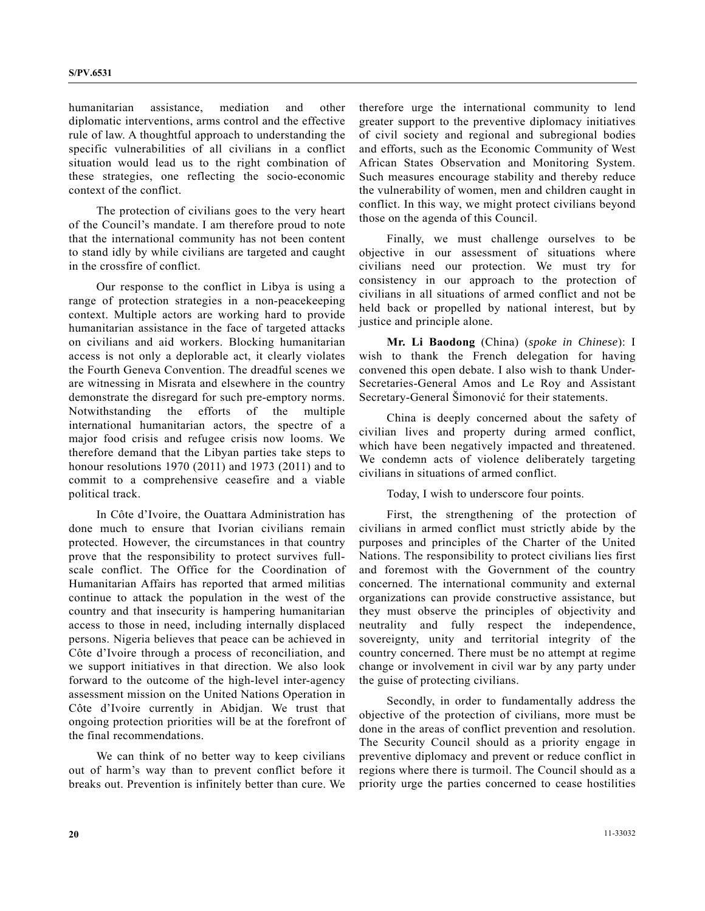humanitarian assistance, mediation and other diplomatic interventions, arms control and the effective rule of law. A thoughtful approach to understanding the specific vulnerabilities of all civilians in a conflict situation would lead us to the right combination of these strategies, one reflecting the socio-economic context of the conflict.

 The protection of civilians goes to the very heart of the Council's mandate. I am therefore proud to note that the international community has not been content to stand idly by while civilians are targeted and caught in the crossfire of conflict.

 Our response to the conflict in Libya is using a range of protection strategies in a non-peacekeeping context. Multiple actors are working hard to provide humanitarian assistance in the face of targeted attacks on civilians and aid workers. Blocking humanitarian access is not only a deplorable act, it clearly violates the Fourth Geneva Convention. The dreadful scenes we are witnessing in Misrata and elsewhere in the country demonstrate the disregard for such pre-emptory norms. Notwithstanding the efforts of the multiple international humanitarian actors, the spectre of a major food crisis and refugee crisis now looms. We therefore demand that the Libyan parties take steps to honour resolutions 1970 (2011) and 1973 (2011) and to commit to a comprehensive ceasefire and a viable political track.

 In Côte d'Ivoire, the Ouattara Administration has done much to ensure that Ivorian civilians remain protected. However, the circumstances in that country prove that the responsibility to protect survives fullscale conflict. The Office for the Coordination of Humanitarian Affairs has reported that armed militias continue to attack the population in the west of the country and that insecurity is hampering humanitarian access to those in need, including internally displaced persons. Nigeria believes that peace can be achieved in Côte d'Ivoire through a process of reconciliation, and we support initiatives in that direction. We also look forward to the outcome of the high-level inter-agency assessment mission on the United Nations Operation in Côte d'Ivoire currently in Abidjan. We trust that ongoing protection priorities will be at the forefront of the final recommendations.

 We can think of no better way to keep civilians out of harm's way than to prevent conflict before it breaks out. Prevention is infinitely better than cure. We therefore urge the international community to lend greater support to the preventive diplomacy initiatives of civil society and regional and subregional bodies and efforts, such as the Economic Community of West African States Observation and Monitoring System. Such measures encourage stability and thereby reduce the vulnerability of women, men and children caught in conflict. In this way, we might protect civilians beyond those on the agenda of this Council.

 Finally, we must challenge ourselves to be objective in our assessment of situations where civilians need our protection. We must try for consistency in our approach to the protection of civilians in all situations of armed conflict and not be held back or propelled by national interest, but by justice and principle alone.

**Mr. Li Baodong** (China) (*spoke in Chinese*): I wish to thank the French delegation for having convened this open debate. I also wish to thank Under-Secretaries-General Amos and Le Roy and Assistant Secretary-General Šimonović for their statements.

 China is deeply concerned about the safety of civilian lives and property during armed conflict, which have been negatively impacted and threatened. We condemn acts of violence deliberately targeting civilians in situations of armed conflict.

Today, I wish to underscore four points.

 First, the strengthening of the protection of civilians in armed conflict must strictly abide by the purposes and principles of the Charter of the United Nations. The responsibility to protect civilians lies first and foremost with the Government of the country concerned. The international community and external organizations can provide constructive assistance, but they must observe the principles of objectivity and neutrality and fully respect the independence, sovereignty, unity and territorial integrity of the country concerned. There must be no attempt at regime change or involvement in civil war by any party under the guise of protecting civilians.

 Secondly, in order to fundamentally address the objective of the protection of civilians, more must be done in the areas of conflict prevention and resolution. The Security Council should as a priority engage in preventive diplomacy and prevent or reduce conflict in regions where there is turmoil. The Council should as a priority urge the parties concerned to cease hostilities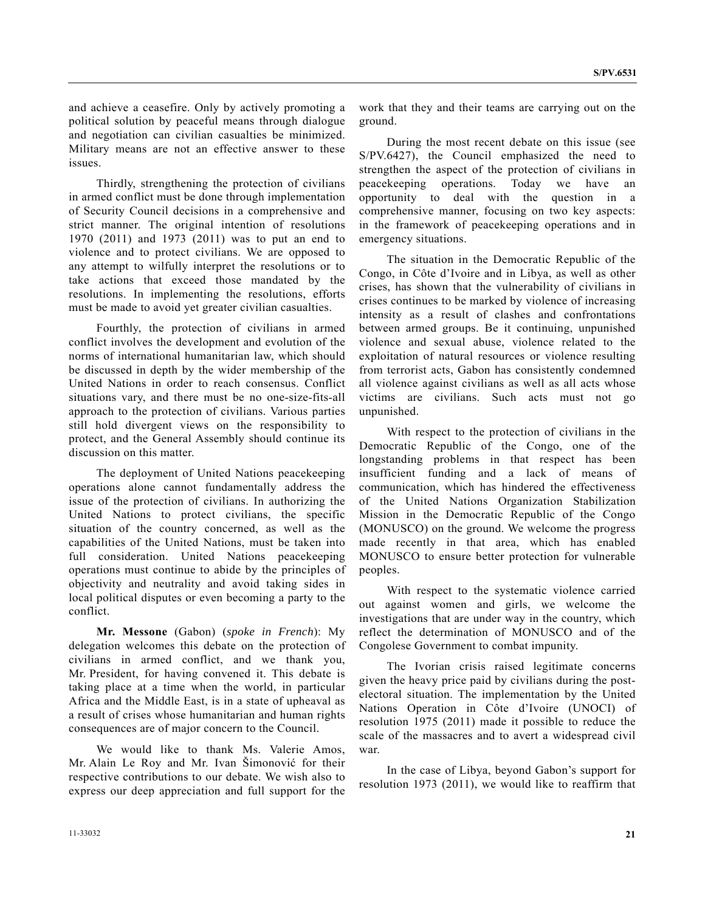and achieve a ceasefire. Only by actively promoting a political solution by peaceful means through dialogue and negotiation can civilian casualties be minimized. Military means are not an effective answer to these issues.

 Thirdly, strengthening the protection of civilians in armed conflict must be done through implementation of Security Council decisions in a comprehensive and strict manner. The original intention of resolutions 1970 (2011) and 1973 (2011) was to put an end to violence and to protect civilians. We are opposed to any attempt to wilfully interpret the resolutions or to take actions that exceed those mandated by the resolutions. In implementing the resolutions, efforts must be made to avoid yet greater civilian casualties.

 Fourthly, the protection of civilians in armed conflict involves the development and evolution of the norms of international humanitarian law, which should be discussed in depth by the wider membership of the United Nations in order to reach consensus. Conflict situations vary, and there must be no one-size-fits-all approach to the protection of civilians. Various parties still hold divergent views on the responsibility to protect, and the General Assembly should continue its discussion on this matter.

 The deployment of United Nations peacekeeping operations alone cannot fundamentally address the issue of the protection of civilians. In authorizing the United Nations to protect civilians, the specific situation of the country concerned, as well as the capabilities of the United Nations, must be taken into full consideration. United Nations peacekeeping operations must continue to abide by the principles of objectivity and neutrality and avoid taking sides in local political disputes or even becoming a party to the conflict.

**Mr. Messone** (Gabon) (*spoke in French*): My delegation welcomes this debate on the protection of civilians in armed conflict, and we thank you, Mr. President, for having convened it. This debate is taking place at a time when the world, in particular Africa and the Middle East, is in a state of upheaval as a result of crises whose humanitarian and human rights consequences are of major concern to the Council.

 We would like to thank Ms. Valerie Amos, Mr. Alain Le Roy and Mr. Ivan Šimonović for their respective contributions to our debate. We wish also to express our deep appreciation and full support for the

work that they and their teams are carrying out on the ground.

 During the most recent debate on this issue (see S/PV.6427), the Council emphasized the need to strengthen the aspect of the protection of civilians in peacekeeping operations. Today we have an opportunity to deal with the question in a comprehensive manner, focusing on two key aspects: in the framework of peacekeeping operations and in emergency situations.

 The situation in the Democratic Republic of the Congo, in Côte d'Ivoire and in Libya, as well as other crises, has shown that the vulnerability of civilians in crises continues to be marked by violence of increasing intensity as a result of clashes and confrontations between armed groups. Be it continuing, unpunished violence and sexual abuse, violence related to the exploitation of natural resources or violence resulting from terrorist acts, Gabon has consistently condemned all violence against civilians as well as all acts whose victims are civilians. Such acts must not go unpunished.

 With respect to the protection of civilians in the Democratic Republic of the Congo, one of the longstanding problems in that respect has been insufficient funding and a lack of means of communication, which has hindered the effectiveness of the United Nations Organization Stabilization Mission in the Democratic Republic of the Congo (MONUSCO) on the ground. We welcome the progress made recently in that area, which has enabled MONUSCO to ensure better protection for vulnerable peoples.

 With respect to the systematic violence carried out against women and girls, we welcome the investigations that are under way in the country, which reflect the determination of MONUSCO and of the Congolese Government to combat impunity.

 The Ivorian crisis raised legitimate concerns given the heavy price paid by civilians during the postelectoral situation. The implementation by the United Nations Operation in Côte d'Ivoire (UNOCI) of resolution 1975 (2011) made it possible to reduce the scale of the massacres and to avert a widespread civil war.

 In the case of Libya, beyond Gabon's support for resolution 1973 (2011), we would like to reaffirm that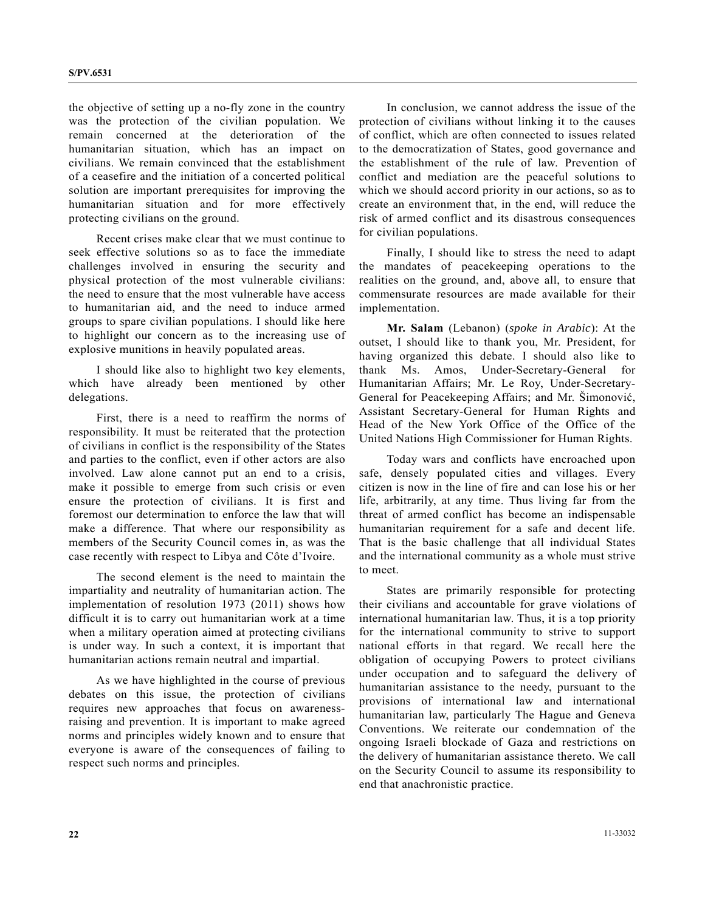the objective of setting up a no-fly zone in the country was the protection of the civilian population. We remain concerned at the deterioration of the humanitarian situation, which has an impact on civilians. We remain convinced that the establishment of a ceasefire and the initiation of a concerted political solution are important prerequisites for improving the humanitarian situation and for more effectively protecting civilians on the ground.

 Recent crises make clear that we must continue to seek effective solutions so as to face the immediate challenges involved in ensuring the security and physical protection of the most vulnerable civilians: the need to ensure that the most vulnerable have access to humanitarian aid, and the need to induce armed groups to spare civilian populations. I should like here to highlight our concern as to the increasing use of explosive munitions in heavily populated areas.

 I should like also to highlight two key elements, which have already been mentioned by other delegations.

 First, there is a need to reaffirm the norms of responsibility. It must be reiterated that the protection of civilians in conflict is the responsibility of the States and parties to the conflict, even if other actors are also involved. Law alone cannot put an end to a crisis, make it possible to emerge from such crisis or even ensure the protection of civilians. It is first and foremost our determination to enforce the law that will make a difference. That where our responsibility as members of the Security Council comes in, as was the case recently with respect to Libya and Côte d'Ivoire.

 The second element is the need to maintain the impartiality and neutrality of humanitarian action. The implementation of resolution 1973 (2011) shows how difficult it is to carry out humanitarian work at a time when a military operation aimed at protecting civilians is under way. In such a context, it is important that humanitarian actions remain neutral and impartial.

 As we have highlighted in the course of previous debates on this issue, the protection of civilians requires new approaches that focus on awarenessraising and prevention. It is important to make agreed norms and principles widely known and to ensure that everyone is aware of the consequences of failing to respect such norms and principles.

 In conclusion, we cannot address the issue of the protection of civilians without linking it to the causes of conflict, which are often connected to issues related to the democratization of States, good governance and the establishment of the rule of law. Prevention of conflict and mediation are the peaceful solutions to which we should accord priority in our actions, so as to create an environment that, in the end, will reduce the risk of armed conflict and its disastrous consequences for civilian populations.

 Finally, I should like to stress the need to adapt the mandates of peacekeeping operations to the realities on the ground, and, above all, to ensure that commensurate resources are made available for their implementation.

**Mr. Salam** (Lebanon) (*spoke in Arabic*): At the outset, I should like to thank you, Mr. President, for having organized this debate. I should also like to thank Ms. Amos, Under-Secretary-General for Humanitarian Affairs; Mr. Le Roy, Under-Secretary-General for Peacekeeping Affairs; and Mr. Šimonović, Assistant Secretary-General for Human Rights and Head of the New York Office of the Office of the United Nations High Commissioner for Human Rights.

 Today wars and conflicts have encroached upon safe, densely populated cities and villages. Every citizen is now in the line of fire and can lose his or her life, arbitrarily, at any time. Thus living far from the threat of armed conflict has become an indispensable humanitarian requirement for a safe and decent life. That is the basic challenge that all individual States and the international community as a whole must strive to meet.

 States are primarily responsible for protecting their civilians and accountable for grave violations of international humanitarian law. Thus, it is a top priority for the international community to strive to support national efforts in that regard. We recall here the obligation of occupying Powers to protect civilians under occupation and to safeguard the delivery of humanitarian assistance to the needy, pursuant to the provisions of international law and international humanitarian law, particularly The Hague and Geneva Conventions. We reiterate our condemnation of the ongoing Israeli blockade of Gaza and restrictions on the delivery of humanitarian assistance thereto. We call on the Security Council to assume its responsibility to end that anachronistic practice.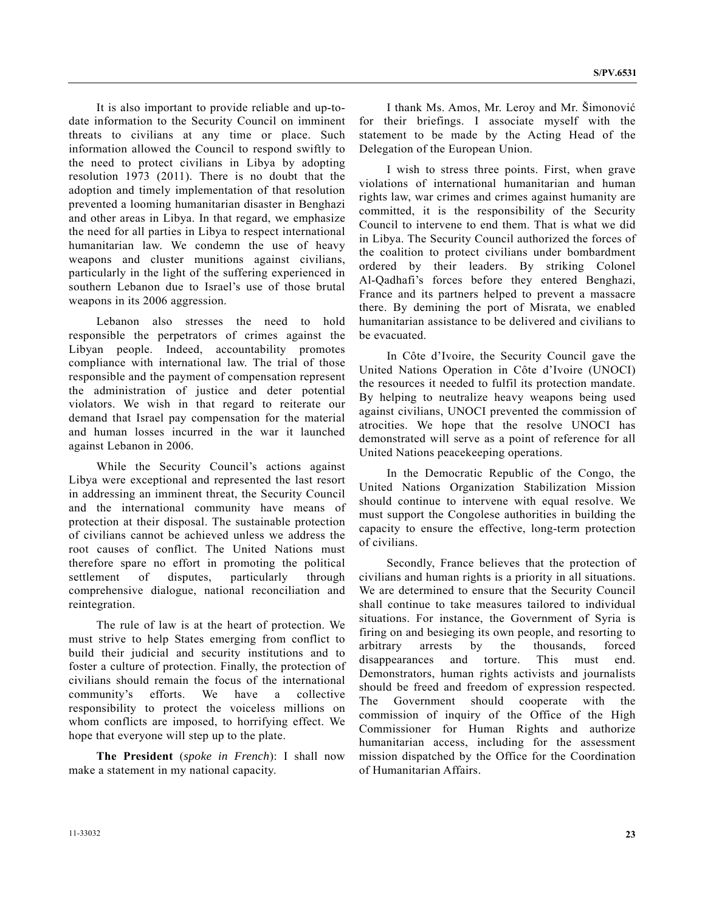It is also important to provide reliable and up-todate information to the Security Council on imminent threats to civilians at any time or place. Such information allowed the Council to respond swiftly to the need to protect civilians in Libya by adopting resolution 1973 (2011). There is no doubt that the adoption and timely implementation of that resolution prevented a looming humanitarian disaster in Benghazi and other areas in Libya. In that regard, we emphasize the need for all parties in Libya to respect international humanitarian law. We condemn the use of heavy weapons and cluster munitions against civilians, particularly in the light of the suffering experienced in southern Lebanon due to Israel's use of those brutal weapons in its 2006 aggression.

 Lebanon also stresses the need to hold responsible the perpetrators of crimes against the Libyan people. Indeed, accountability promotes compliance with international law. The trial of those responsible and the payment of compensation represent the administration of justice and deter potential violators. We wish in that regard to reiterate our demand that Israel pay compensation for the material and human losses incurred in the war it launched against Lebanon in 2006.

 While the Security Council's actions against Libya were exceptional and represented the last resort in addressing an imminent threat, the Security Council and the international community have means of protection at their disposal. The sustainable protection of civilians cannot be achieved unless we address the root causes of conflict. The United Nations must therefore spare no effort in promoting the political settlement of disputes, particularly through comprehensive dialogue, national reconciliation and reintegration.

 The rule of law is at the heart of protection. We must strive to help States emerging from conflict to build their judicial and security institutions and to foster a culture of protection. Finally, the protection of civilians should remain the focus of the international community's efforts. We have a collective responsibility to protect the voiceless millions on whom conflicts are imposed, to horrifying effect. We hope that everyone will step up to the plate.

**The President** (*spoke in French*): I shall now make a statement in my national capacity.

 I thank Ms. Amos, Mr. Leroy and Mr. Šimonović for their briefings. I associate myself with the statement to be made by the Acting Head of the Delegation of the European Union.

 I wish to stress three points. First, when grave violations of international humanitarian and human rights law, war crimes and crimes against humanity are committed, it is the responsibility of the Security Council to intervene to end them. That is what we did in Libya. The Security Council authorized the forces of the coalition to protect civilians under bombardment ordered by their leaders. By striking Colonel Al-Qadhafi's forces before they entered Benghazi, France and its partners helped to prevent a massacre there. By demining the port of Misrata, we enabled humanitarian assistance to be delivered and civilians to be evacuated.

 In Côte d'Ivoire, the Security Council gave the United Nations Operation in Côte d'Ivoire (UNOCI) the resources it needed to fulfil its protection mandate. By helping to neutralize heavy weapons being used against civilians, UNOCI prevented the commission of atrocities. We hope that the resolve UNOCI has demonstrated will serve as a point of reference for all United Nations peacekeeping operations.

 In the Democratic Republic of the Congo, the United Nations Organization Stabilization Mission should continue to intervene with equal resolve. We must support the Congolese authorities in building the capacity to ensure the effective, long-term protection of civilians.

 Secondly, France believes that the protection of civilians and human rights is a priority in all situations. We are determined to ensure that the Security Council shall continue to take measures tailored to individual situations. For instance, the Government of Syria is firing on and besieging its own people, and resorting to arbitrary arrests by the thousands, forced disappearances and torture. This must end. Demonstrators, human rights activists and journalists should be freed and freedom of expression respected. The Government should cooperate with the commission of inquiry of the Office of the High Commissioner for Human Rights and authorize humanitarian access, including for the assessment mission dispatched by the Office for the Coordination of Humanitarian Affairs.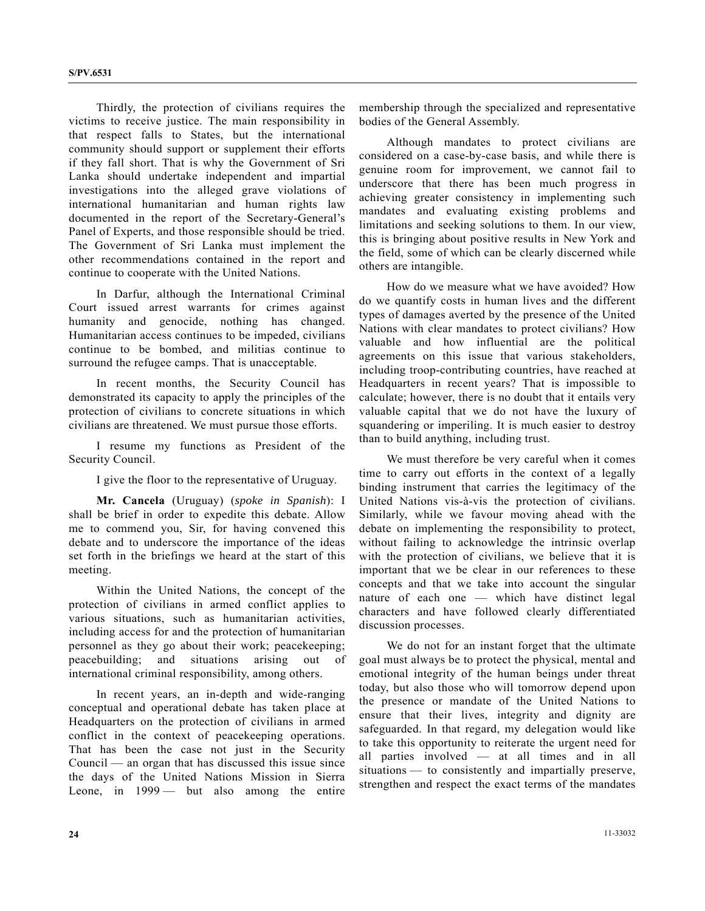Thirdly, the protection of civilians requires the victims to receive justice. The main responsibility in that respect falls to States, but the international community should support or supplement their efforts if they fall short. That is why the Government of Sri Lanka should undertake independent and impartial investigations into the alleged grave violations of international humanitarian and human rights law documented in the report of the Secretary-General's Panel of Experts, and those responsible should be tried. The Government of Sri Lanka must implement the other recommendations contained in the report and continue to cooperate with the United Nations.

 In Darfur, although the International Criminal Court issued arrest warrants for crimes against humanity and genocide, nothing has changed. Humanitarian access continues to be impeded, civilians continue to be bombed, and militias continue to surround the refugee camps. That is unacceptable.

 In recent months, the Security Council has demonstrated its capacity to apply the principles of the protection of civilians to concrete situations in which civilians are threatened. We must pursue those efforts.

 I resume my functions as President of the Security Council.

I give the floor to the representative of Uruguay.

**Mr. Cancela** (Uruguay) (*spoke in Spanish*): I shall be brief in order to expedite this debate. Allow me to commend you, Sir, for having convened this debate and to underscore the importance of the ideas set forth in the briefings we heard at the start of this meeting.

 Within the United Nations, the concept of the protection of civilians in armed conflict applies to various situations, such as humanitarian activities, including access for and the protection of humanitarian personnel as they go about their work; peacekeeping; peacebuilding; and situations arising out of international criminal responsibility, among others.

 In recent years, an in-depth and wide-ranging conceptual and operational debate has taken place at Headquarters on the protection of civilians in armed conflict in the context of peacekeeping operations. That has been the case not just in the Security Council — an organ that has discussed this issue since the days of the United Nations Mission in Sierra Leone, in 1999 — but also among the entire

membership through the specialized and representative bodies of the General Assembly.

 Although mandates to protect civilians are considered on a case-by-case basis, and while there is genuine room for improvement, we cannot fail to underscore that there has been much progress in achieving greater consistency in implementing such mandates and evaluating existing problems and limitations and seeking solutions to them. In our view, this is bringing about positive results in New York and the field, some of which can be clearly discerned while others are intangible.

 How do we measure what we have avoided? How do we quantify costs in human lives and the different types of damages averted by the presence of the United Nations with clear mandates to protect civilians? How valuable and how influential are the political agreements on this issue that various stakeholders, including troop-contributing countries, have reached at Headquarters in recent years? That is impossible to calculate; however, there is no doubt that it entails very valuable capital that we do not have the luxury of squandering or imperiling. It is much easier to destroy than to build anything, including trust.

 We must therefore be very careful when it comes time to carry out efforts in the context of a legally binding instrument that carries the legitimacy of the United Nations vis-à-vis the protection of civilians. Similarly, while we favour moving ahead with the debate on implementing the responsibility to protect, without failing to acknowledge the intrinsic overlap with the protection of civilians, we believe that it is important that we be clear in our references to these concepts and that we take into account the singular nature of each one — which have distinct legal characters and have followed clearly differentiated discussion processes.

 We do not for an instant forget that the ultimate goal must always be to protect the physical, mental and emotional integrity of the human beings under threat today, but also those who will tomorrow depend upon the presence or mandate of the United Nations to ensure that their lives, integrity and dignity are safeguarded. In that regard, my delegation would like to take this opportunity to reiterate the urgent need for all parties involved — at all times and in all situations — to consistently and impartially preserve, strengthen and respect the exact terms of the mandates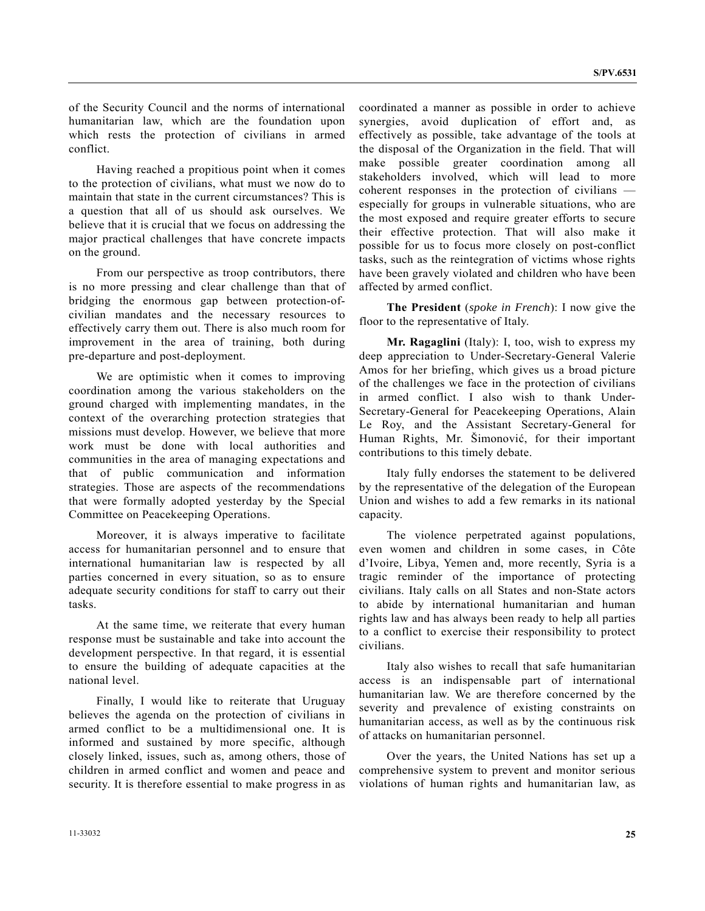of the Security Council and the norms of international humanitarian law, which are the foundation upon which rests the protection of civilians in armed conflict.

 Having reached a propitious point when it comes to the protection of civilians, what must we now do to maintain that state in the current circumstances? This is a question that all of us should ask ourselves. We believe that it is crucial that we focus on addressing the major practical challenges that have concrete impacts on the ground.

 From our perspective as troop contributors, there is no more pressing and clear challenge than that of bridging the enormous gap between protection-ofcivilian mandates and the necessary resources to effectively carry them out. There is also much room for improvement in the area of training, both during pre-departure and post-deployment.

 We are optimistic when it comes to improving coordination among the various stakeholders on the ground charged with implementing mandates, in the context of the overarching protection strategies that missions must develop. However, we believe that more work must be done with local authorities and communities in the area of managing expectations and that of public communication and information strategies. Those are aspects of the recommendations that were formally adopted yesterday by the Special Committee on Peacekeeping Operations.

 Moreover, it is always imperative to facilitate access for humanitarian personnel and to ensure that international humanitarian law is respected by all parties concerned in every situation, so as to ensure adequate security conditions for staff to carry out their tasks.

 At the same time, we reiterate that every human response must be sustainable and take into account the development perspective. In that regard, it is essential to ensure the building of adequate capacities at the national level.

 Finally, I would like to reiterate that Uruguay believes the agenda on the protection of civilians in armed conflict to be a multidimensional one. It is informed and sustained by more specific, although closely linked, issues, such as, among others, those of children in armed conflict and women and peace and security. It is therefore essential to make progress in as coordinated a manner as possible in order to achieve synergies, avoid duplication of effort and, as effectively as possible, take advantage of the tools at the disposal of the Organization in the field. That will make possible greater coordination among all stakeholders involved, which will lead to more coherent responses in the protection of civilians especially for groups in vulnerable situations, who are the most exposed and require greater efforts to secure their effective protection. That will also make it possible for us to focus more closely on post-conflict tasks, such as the reintegration of victims whose rights have been gravely violated and children who have been affected by armed conflict.

**The President** (*spoke in French*): I now give the floor to the representative of Italy.

**Mr. Ragaglini** (Italy): I, too, wish to express my deep appreciation to Under-Secretary-General Valerie Amos for her briefing, which gives us a broad picture of the challenges we face in the protection of civilians in armed conflict. I also wish to thank Under-Secretary-General for Peacekeeping Operations, Alain Le Roy, and the Assistant Secretary-General for Human Rights, Mr. Šimonović, for their important contributions to this timely debate.

 Italy fully endorses the statement to be delivered by the representative of the delegation of the European Union and wishes to add a few remarks in its national capacity.

 The violence perpetrated against populations, even women and children in some cases, in Côte d'Ivoire, Libya, Yemen and, more recently, Syria is a tragic reminder of the importance of protecting civilians. Italy calls on all States and non-State actors to abide by international humanitarian and human rights law and has always been ready to help all parties to a conflict to exercise their responsibility to protect civilians.

 Italy also wishes to recall that safe humanitarian access is an indispensable part of international humanitarian law. We are therefore concerned by the severity and prevalence of existing constraints on humanitarian access, as well as by the continuous risk of attacks on humanitarian personnel.

 Over the years, the United Nations has set up a comprehensive system to prevent and monitor serious violations of human rights and humanitarian law, as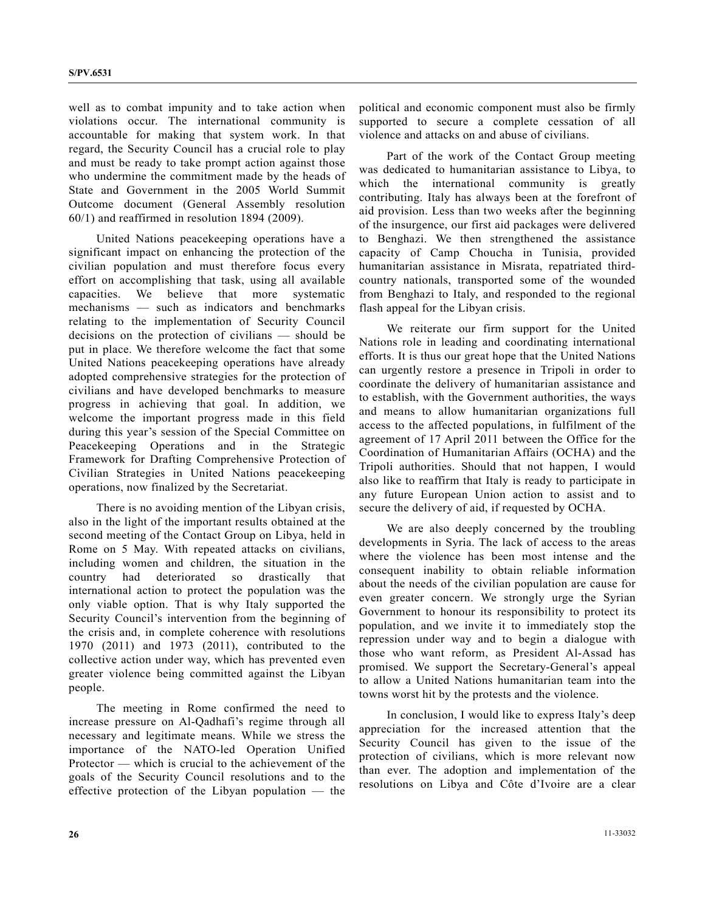well as to combat impunity and to take action when violations occur. The international community is accountable for making that system work. In that regard, the Security Council has a crucial role to play and must be ready to take prompt action against those who undermine the commitment made by the heads of State and Government in the 2005 World Summit Outcome document (General Assembly resolution 60/1) and reaffirmed in resolution 1894 (2009).

 United Nations peacekeeping operations have a significant impact on enhancing the protection of the civilian population and must therefore focus every effort on accomplishing that task, using all available capacities. We believe that more systematic mechanisms — such as indicators and benchmarks relating to the implementation of Security Council decisions on the protection of civilians — should be put in place. We therefore welcome the fact that some United Nations peacekeeping operations have already adopted comprehensive strategies for the protection of civilians and have developed benchmarks to measure progress in achieving that goal. In addition, we welcome the important progress made in this field during this year's session of the Special Committee on Peacekeeping Operations and in the Strategic Framework for Drafting Comprehensive Protection of Civilian Strategies in United Nations peacekeeping operations, now finalized by the Secretariat.

 There is no avoiding mention of the Libyan crisis, also in the light of the important results obtained at the second meeting of the Contact Group on Libya, held in Rome on 5 May. With repeated attacks on civilians, including women and children, the situation in the country had deteriorated so drastically that international action to protect the population was the only viable option. That is why Italy supported the Security Council's intervention from the beginning of the crisis and, in complete coherence with resolutions 1970 (2011) and 1973 (2011), contributed to the collective action under way, which has prevented even greater violence being committed against the Libyan people.

 The meeting in Rome confirmed the need to increase pressure on Al-Qadhafi's regime through all necessary and legitimate means. While we stress the importance of the NATO-led Operation Unified Protector — which is crucial to the achievement of the goals of the Security Council resolutions and to the effective protection of the Libyan population — the

political and economic component must also be firmly supported to secure a complete cessation of all violence and attacks on and abuse of civilians.

 Part of the work of the Contact Group meeting was dedicated to humanitarian assistance to Libya, to which the international community is greatly contributing. Italy has always been at the forefront of aid provision. Less than two weeks after the beginning of the insurgence, our first aid packages were delivered to Benghazi. We then strengthened the assistance capacity of Camp Choucha in Tunisia, provided humanitarian assistance in Misrata, repatriated thirdcountry nationals, transported some of the wounded from Benghazi to Italy, and responded to the regional flash appeal for the Libyan crisis.

 We reiterate our firm support for the United Nations role in leading and coordinating international efforts. It is thus our great hope that the United Nations can urgently restore a presence in Tripoli in order to coordinate the delivery of humanitarian assistance and to establish, with the Government authorities, the ways and means to allow humanitarian organizations full access to the affected populations, in fulfilment of the agreement of 17 April 2011 between the Office for the Coordination of Humanitarian Affairs (OCHA) and the Tripoli authorities. Should that not happen, I would also like to reaffirm that Italy is ready to participate in any future European Union action to assist and to secure the delivery of aid, if requested by OCHA.

 We are also deeply concerned by the troubling developments in Syria. The lack of access to the areas where the violence has been most intense and the consequent inability to obtain reliable information about the needs of the civilian population are cause for even greater concern. We strongly urge the Syrian Government to honour its responsibility to protect its population, and we invite it to immediately stop the repression under way and to begin a dialogue with those who want reform, as President Al-Assad has promised. We support the Secretary-General's appeal to allow a United Nations humanitarian team into the towns worst hit by the protests and the violence.

 In conclusion, I would like to express Italy's deep appreciation for the increased attention that the Security Council has given to the issue of the protection of civilians, which is more relevant now than ever. The adoption and implementation of the resolutions on Libya and Côte d'Ivoire are a clear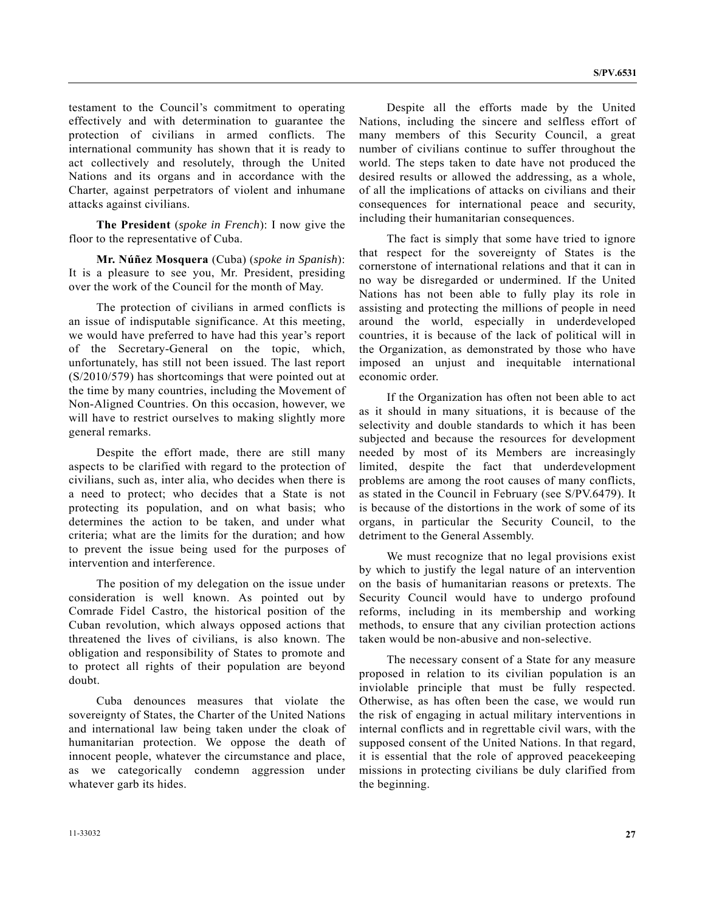testament to the Council's commitment to operating effectively and with determination to guarantee the protection of civilians in armed conflicts. The international community has shown that it is ready to act collectively and resolutely, through the United Nations and its organs and in accordance with the Charter, against perpetrators of violent and inhumane attacks against civilians.

**The President** (*spoke in French*): I now give the floor to the representative of Cuba.

**Mr. Núñez Mosquera** (Cuba) (*spoke in Spanish*): It is a pleasure to see you, Mr. President, presiding over the work of the Council for the month of May.

 The protection of civilians in armed conflicts is an issue of indisputable significance. At this meeting, we would have preferred to have had this year's report of the Secretary-General on the topic, which, unfortunately, has still not been issued. The last report (S/2010/579) has shortcomings that were pointed out at the time by many countries, including the Movement of Non-Aligned Countries. On this occasion, however, we will have to restrict ourselves to making slightly more general remarks.

 Despite the effort made, there are still many aspects to be clarified with regard to the protection of civilians, such as, inter alia, who decides when there is a need to protect; who decides that a State is not protecting its population, and on what basis; who determines the action to be taken, and under what criteria; what are the limits for the duration; and how to prevent the issue being used for the purposes of intervention and interference.

 The position of my delegation on the issue under consideration is well known. As pointed out by Comrade Fidel Castro, the historical position of the Cuban revolution, which always opposed actions that threatened the lives of civilians, is also known. The obligation and responsibility of States to promote and to protect all rights of their population are beyond doubt.

 Cuba denounces measures that violate the sovereignty of States, the Charter of the United Nations and international law being taken under the cloak of humanitarian protection. We oppose the death of innocent people, whatever the circumstance and place, as we categorically condemn aggression under whatever garb its hides.

 Despite all the efforts made by the United Nations, including the sincere and selfless effort of many members of this Security Council, a great number of civilians continue to suffer throughout the world. The steps taken to date have not produced the desired results or allowed the addressing, as a whole, of all the implications of attacks on civilians and their consequences for international peace and security, including their humanitarian consequences.

 The fact is simply that some have tried to ignore that respect for the sovereignty of States is the cornerstone of international relations and that it can in no way be disregarded or undermined. If the United Nations has not been able to fully play its role in assisting and protecting the millions of people in need around the world, especially in underdeveloped countries, it is because of the lack of political will in the Organization, as demonstrated by those who have imposed an unjust and inequitable international economic order.

 If the Organization has often not been able to act as it should in many situations, it is because of the selectivity and double standards to which it has been subjected and because the resources for development needed by most of its Members are increasingly limited, despite the fact that underdevelopment problems are among the root causes of many conflicts, as stated in the Council in February (see S/PV.6479). It is because of the distortions in the work of some of its organs, in particular the Security Council, to the detriment to the General Assembly.

 We must recognize that no legal provisions exist by which to justify the legal nature of an intervention on the basis of humanitarian reasons or pretexts. The Security Council would have to undergo profound reforms, including in its membership and working methods, to ensure that any civilian protection actions taken would be non-abusive and non-selective.

 The necessary consent of a State for any measure proposed in relation to its civilian population is an inviolable principle that must be fully respected. Otherwise, as has often been the case, we would run the risk of engaging in actual military interventions in internal conflicts and in regrettable civil wars, with the supposed consent of the United Nations. In that regard, it is essential that the role of approved peacekeeping missions in protecting civilians be duly clarified from the beginning.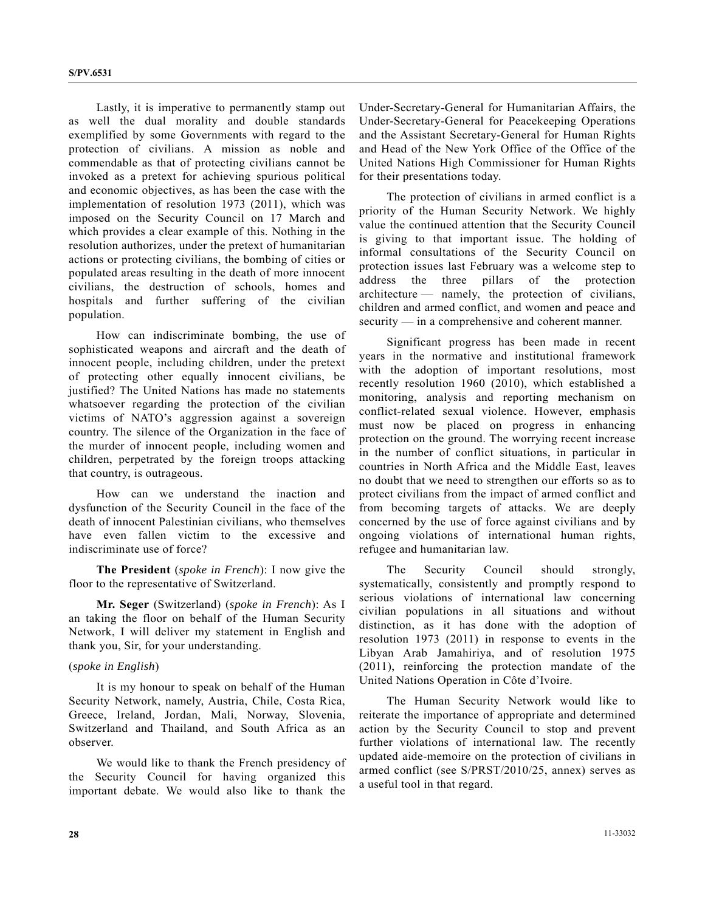Lastly, it is imperative to permanently stamp out as well the dual morality and double standards exemplified by some Governments with regard to the protection of civilians. A mission as noble and commendable as that of protecting civilians cannot be invoked as a pretext for achieving spurious political and economic objectives, as has been the case with the implementation of resolution 1973 (2011), which was imposed on the Security Council on 17 March and which provides a clear example of this. Nothing in the resolution authorizes, under the pretext of humanitarian actions or protecting civilians, the bombing of cities or populated areas resulting in the death of more innocent civilians, the destruction of schools, homes and hospitals and further suffering of the civilian population.

 How can indiscriminate bombing, the use of sophisticated weapons and aircraft and the death of innocent people, including children, under the pretext of protecting other equally innocent civilians, be justified? The United Nations has made no statements whatsoever regarding the protection of the civilian victims of NATO's aggression against a sovereign country. The silence of the Organization in the face of the murder of innocent people, including women and children, perpetrated by the foreign troops attacking that country, is outrageous.

 How can we understand the inaction and dysfunction of the Security Council in the face of the death of innocent Palestinian civilians, who themselves have even fallen victim to the excessive and indiscriminate use of force?

**The President** (*spoke in French*): I now give the floor to the representative of Switzerland.

**Mr. Seger** (Switzerland) (*spoke in French*): As I an taking the floor on behalf of the Human Security Network, I will deliver my statement in English and thank you, Sir, for your understanding.

#### (*spoke in English*)

 It is my honour to speak on behalf of the Human Security Network, namely, Austria, Chile, Costa Rica, Greece, Ireland, Jordan, Mali, Norway, Slovenia, Switzerland and Thailand, and South Africa as an observer.

 We would like to thank the French presidency of the Security Council for having organized this important debate. We would also like to thank the

Under-Secretary-General for Humanitarian Affairs, the Under-Secretary-General for Peacekeeping Operations and the Assistant Secretary-General for Human Rights and Head of the New York Office of the Office of the United Nations High Commissioner for Human Rights for their presentations today.

 The protection of civilians in armed conflict is a priority of the Human Security Network. We highly value the continued attention that the Security Council is giving to that important issue. The holding of informal consultations of the Security Council on protection issues last February was a welcome step to address the three pillars of the protection architecture — namely, the protection of civilians, children and armed conflict, and women and peace and security — in a comprehensive and coherent manner.

 Significant progress has been made in recent years in the normative and institutional framework with the adoption of important resolutions, most recently resolution 1960 (2010), which established a monitoring, analysis and reporting mechanism on conflict-related sexual violence. However, emphasis must now be placed on progress in enhancing protection on the ground. The worrying recent increase in the number of conflict situations, in particular in countries in North Africa and the Middle East, leaves no doubt that we need to strengthen our efforts so as to protect civilians from the impact of armed conflict and from becoming targets of attacks. We are deeply concerned by the use of force against civilians and by ongoing violations of international human rights, refugee and humanitarian law.

 The Security Council should strongly, systematically, consistently and promptly respond to serious violations of international law concerning civilian populations in all situations and without distinction, as it has done with the adoption of resolution 1973 (2011) in response to events in the Libyan Arab Jamahiriya, and of resolution 1975 (2011), reinforcing the protection mandate of the United Nations Operation in Côte d'Ivoire.

 The Human Security Network would like to reiterate the importance of appropriate and determined action by the Security Council to stop and prevent further violations of international law. The recently updated aide-memoire on the protection of civilians in armed conflict (see S/PRST/2010/25, annex) serves as a useful tool in that regard.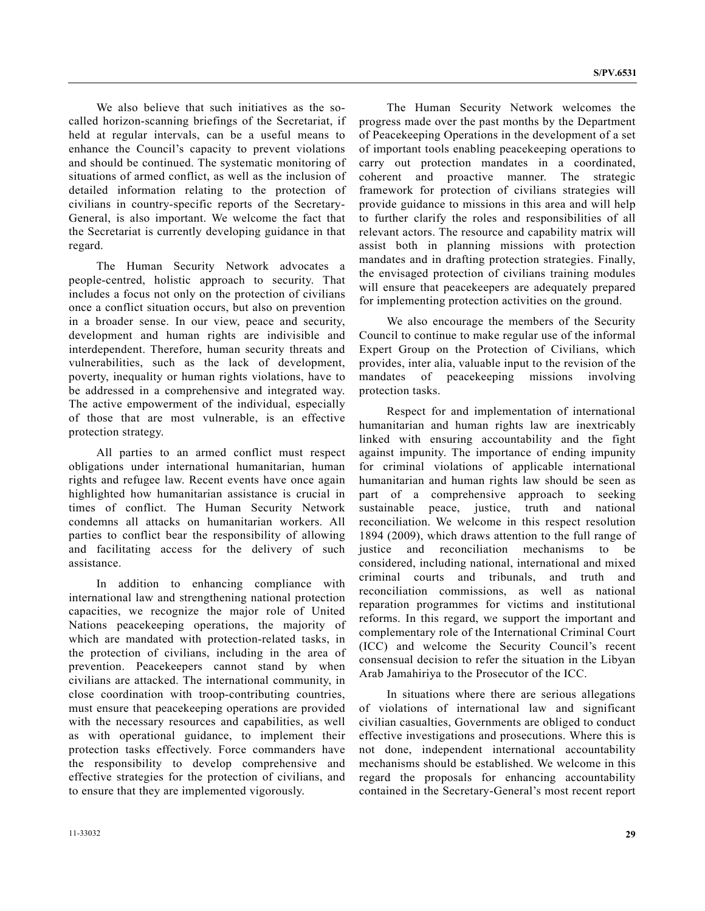We also believe that such initiatives as the socalled horizon-scanning briefings of the Secretariat, if held at regular intervals, can be a useful means to enhance the Council's capacity to prevent violations and should be continued. The systematic monitoring of situations of armed conflict, as well as the inclusion of detailed information relating to the protection of civilians in country-specific reports of the Secretary-General, is also important. We welcome the fact that the Secretariat is currently developing guidance in that regard.

 The Human Security Network advocates a people-centred, holistic approach to security. That includes a focus not only on the protection of civilians once a conflict situation occurs, but also on prevention in a broader sense. In our view, peace and security, development and human rights are indivisible and interdependent. Therefore, human security threats and vulnerabilities, such as the lack of development, poverty, inequality or human rights violations, have to be addressed in a comprehensive and integrated way. The active empowerment of the individual, especially of those that are most vulnerable, is an effective protection strategy.

 All parties to an armed conflict must respect obligations under international humanitarian, human rights and refugee law. Recent events have once again highlighted how humanitarian assistance is crucial in times of conflict. The Human Security Network condemns all attacks on humanitarian workers. All parties to conflict bear the responsibility of allowing and facilitating access for the delivery of such assistance.

 In addition to enhancing compliance with international law and strengthening national protection capacities, we recognize the major role of United Nations peacekeeping operations, the majority of which are mandated with protection-related tasks, in the protection of civilians, including in the area of prevention. Peacekeepers cannot stand by when civilians are attacked. The international community, in close coordination with troop-contributing countries, must ensure that peacekeeping operations are provided with the necessary resources and capabilities, as well as with operational guidance, to implement their protection tasks effectively. Force commanders have the responsibility to develop comprehensive and effective strategies for the protection of civilians, and to ensure that they are implemented vigorously.

 The Human Security Network welcomes the progress made over the past months by the Department of Peacekeeping Operations in the development of a set of important tools enabling peacekeeping operations to carry out protection mandates in a coordinated, coherent and proactive manner. The strategic framework for protection of civilians strategies will provide guidance to missions in this area and will help to further clarify the roles and responsibilities of all relevant actors. The resource and capability matrix will assist both in planning missions with protection mandates and in drafting protection strategies. Finally, the envisaged protection of civilians training modules will ensure that peacekeepers are adequately prepared for implementing protection activities on the ground.

 We also encourage the members of the Security Council to continue to make regular use of the informal Expert Group on the Protection of Civilians, which provides, inter alia, valuable input to the revision of the mandates of peacekeeping missions involving protection tasks.

 Respect for and implementation of international humanitarian and human rights law are inextricably linked with ensuring accountability and the fight against impunity. The importance of ending impunity for criminal violations of applicable international humanitarian and human rights law should be seen as part of a comprehensive approach to seeking sustainable peace, justice, truth and national reconciliation. We welcome in this respect resolution 1894 (2009), which draws attention to the full range of justice and reconciliation mechanisms to be considered, including national, international and mixed criminal courts and tribunals, and truth and reconciliation commissions, as well as national reparation programmes for victims and institutional reforms. In this regard, we support the important and complementary role of the International Criminal Court (ICC) and welcome the Security Council's recent consensual decision to refer the situation in the Libyan Arab Jamahiriya to the Prosecutor of the ICC.

 In situations where there are serious allegations of violations of international law and significant civilian casualties, Governments are obliged to conduct effective investigations and prosecutions. Where this is not done, independent international accountability mechanisms should be established. We welcome in this regard the proposals for enhancing accountability contained in the Secretary-General's most recent report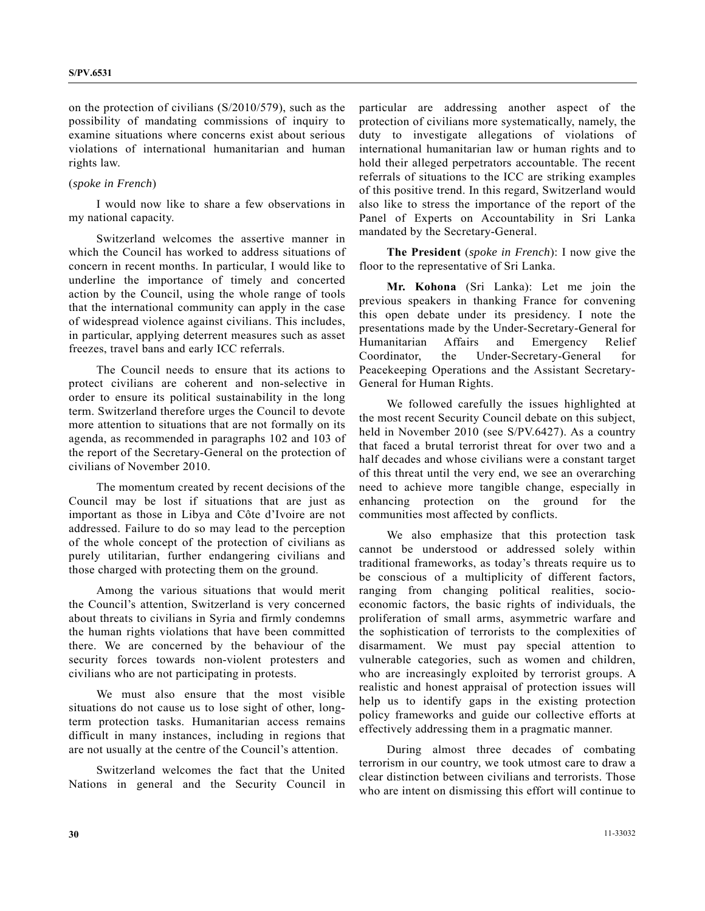on the protection of civilians (S/2010/579), such as the possibility of mandating commissions of inquiry to examine situations where concerns exist about serious violations of international humanitarian and human rights law.

### (*spoke in French*)

 I would now like to share a few observations in my national capacity.

 Switzerland welcomes the assertive manner in which the Council has worked to address situations of concern in recent months. In particular, I would like to underline the importance of timely and concerted action by the Council, using the whole range of tools that the international community can apply in the case of widespread violence against civilians. This includes, in particular, applying deterrent measures such as asset freezes, travel bans and early ICC referrals.

 The Council needs to ensure that its actions to protect civilians are coherent and non-selective in order to ensure its political sustainability in the long term. Switzerland therefore urges the Council to devote more attention to situations that are not formally on its agenda, as recommended in paragraphs 102 and 103 of the report of the Secretary-General on the protection of civilians of November 2010.

 The momentum created by recent decisions of the Council may be lost if situations that are just as important as those in Libya and Côte d'Ivoire are not addressed. Failure to do so may lead to the perception of the whole concept of the protection of civilians as purely utilitarian, further endangering civilians and those charged with protecting them on the ground.

 Among the various situations that would merit the Council's attention, Switzerland is very concerned about threats to civilians in Syria and firmly condemns the human rights violations that have been committed there. We are concerned by the behaviour of the security forces towards non-violent protesters and civilians who are not participating in protests.

 We must also ensure that the most visible situations do not cause us to lose sight of other, longterm protection tasks. Humanitarian access remains difficult in many instances, including in regions that are not usually at the centre of the Council's attention.

 Switzerland welcomes the fact that the United Nations in general and the Security Council in particular are addressing another aspect of the protection of civilians more systematically, namely, the duty to investigate allegations of violations of international humanitarian law or human rights and to hold their alleged perpetrators accountable. The recent referrals of situations to the ICC are striking examples of this positive trend. In this regard, Switzerland would also like to stress the importance of the report of the Panel of Experts on Accountability in Sri Lanka mandated by the Secretary-General.

**The President** (*spoke in French*): I now give the floor to the representative of Sri Lanka.

**Mr. Kohona** (Sri Lanka): Let me join the previous speakers in thanking France for convening this open debate under its presidency. I note the presentations made by the Under-Secretary-General for Humanitarian Affairs and Emergency Relief Coordinator, the Under-Secretary-General for Peacekeeping Operations and the Assistant Secretary-General for Human Rights.

 We followed carefully the issues highlighted at the most recent Security Council debate on this subject, held in November 2010 (see S/PV.6427). As a country that faced a brutal terrorist threat for over two and a half decades and whose civilians were a constant target of this threat until the very end, we see an overarching need to achieve more tangible change, especially in enhancing protection on the ground for the communities most affected by conflicts.

 We also emphasize that this protection task cannot be understood or addressed solely within traditional frameworks, as today's threats require us to be conscious of a multiplicity of different factors, ranging from changing political realities, socioeconomic factors, the basic rights of individuals, the proliferation of small arms, asymmetric warfare and the sophistication of terrorists to the complexities of disarmament. We must pay special attention to vulnerable categories, such as women and children, who are increasingly exploited by terrorist groups. A realistic and honest appraisal of protection issues will help us to identify gaps in the existing protection policy frameworks and guide our collective efforts at effectively addressing them in a pragmatic manner.

 During almost three decades of combating terrorism in our country, we took utmost care to draw a clear distinction between civilians and terrorists. Those who are intent on dismissing this effort will continue to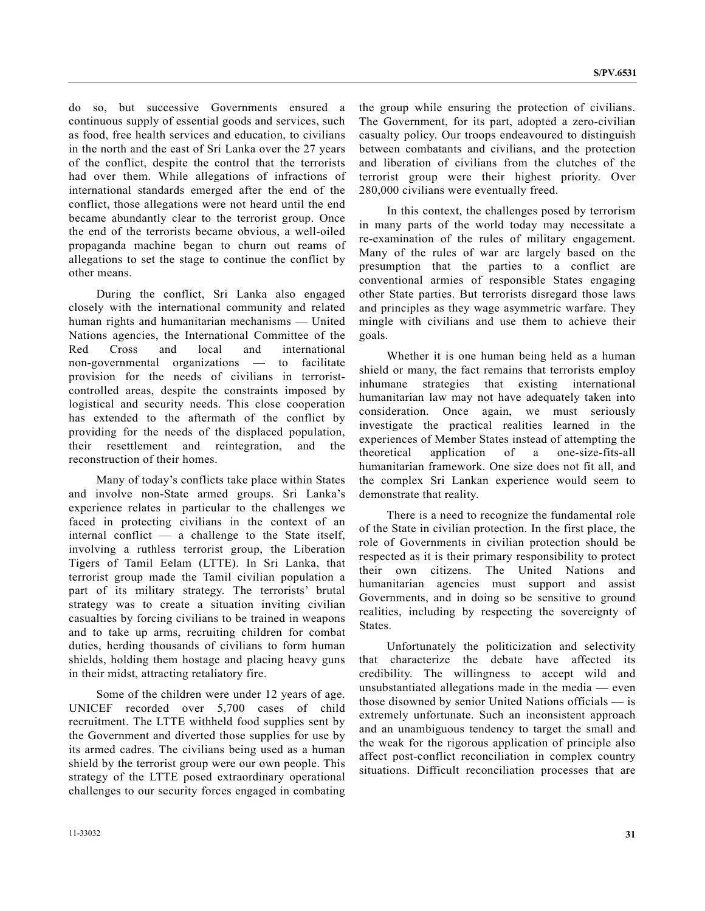do so, but successive Governments ensured a continuous supply of essential goods and services, such as food, free health services and education, to civilians in the north and the east of Sri Lanka over the 27 years of the conflict, despite the control that the terrorists had over them. While allegations of infractions of international standards emerged after the end of the conflict, those allegations were not heard until the end became abundantly clear to the terrorist group. Once the end of the terrorists became obvious, a well-oiled propaganda machine began to churn out reams of allegations to set the stage to continue the conflict by other means.

 During the conflict, Sri Lanka also engaged closely with the international community and related human rights and humanitarian mechanisms — United Nations agencies, the International Committee of the Red Cross and local and international non-governmental organizations — to facilitate provision for the needs of civilians in terroristcontrolled areas, despite the constraints imposed by logistical and security needs. This close cooperation has extended to the aftermath of the conflict by providing for the needs of the displaced population, their resettlement and reintegration, and the reconstruction of their homes.

 Many of today's conflicts take place within States and involve non-State armed groups. Sri Lanka's experience relates in particular to the challenges we faced in protecting civilians in the context of an internal conflict — a challenge to the State itself, involving a ruthless terrorist group, the Liberation Tigers of Tamil Eelam (LTTE). In Sri Lanka, that terrorist group made the Tamil civilian population a part of its military strategy. The terrorists' brutal strategy was to create a situation inviting civilian casualties by forcing civilians to be trained in weapons and to take up arms, recruiting children for combat duties, herding thousands of civilians to form human shields, holding them hostage and placing heavy guns in their midst, attracting retaliatory fire.

 Some of the children were under 12 years of age. UNICEF recorded over 5,700 cases of child recruitment. The LTTE withheld food supplies sent by the Government and diverted those supplies for use by its armed cadres. The civilians being used as a human shield by the terrorist group were our own people. This strategy of the LTTE posed extraordinary operational challenges to our security forces engaged in combating the group while ensuring the protection of civilians. The Government, for its part, adopted a zero-civilian casualty policy. Our troops endeavoured to distinguish between combatants and civilians, and the protection and liberation of civilians from the clutches of the terrorist group were their highest priority. Over 280,000 civilians were eventually freed.

 In this context, the challenges posed by terrorism in many parts of the world today may necessitate a re-examination of the rules of military engagement. Many of the rules of war are largely based on the presumption that the parties to a conflict are conventional armies of responsible States engaging other State parties. But terrorists disregard those laws and principles as they wage asymmetric warfare. They mingle with civilians and use them to achieve their goals.

 Whether it is one human being held as a human shield or many, the fact remains that terrorists employ inhumane strategies that existing international humanitarian law may not have adequately taken into consideration. Once again, we must seriously investigate the practical realities learned in the experiences of Member States instead of attempting the theoretical application of a one-size-fits-all humanitarian framework. One size does not fit all, and the complex Sri Lankan experience would seem to demonstrate that reality.

 There is a need to recognize the fundamental role of the State in civilian protection. In the first place, the role of Governments in civilian protection should be respected as it is their primary responsibility to protect their own citizens. The United Nations and humanitarian agencies must support and assist Governments, and in doing so be sensitive to ground realities, including by respecting the sovereignty of States.

 Unfortunately the politicization and selectivity that characterize the debate have affected its credibility. The willingness to accept wild and unsubstantiated allegations made in the media — even those disowned by senior United Nations officials — is extremely unfortunate. Such an inconsistent approach and an unambiguous tendency to target the small and the weak for the rigorous application of principle also affect post-conflict reconciliation in complex country situations. Difficult reconciliation processes that are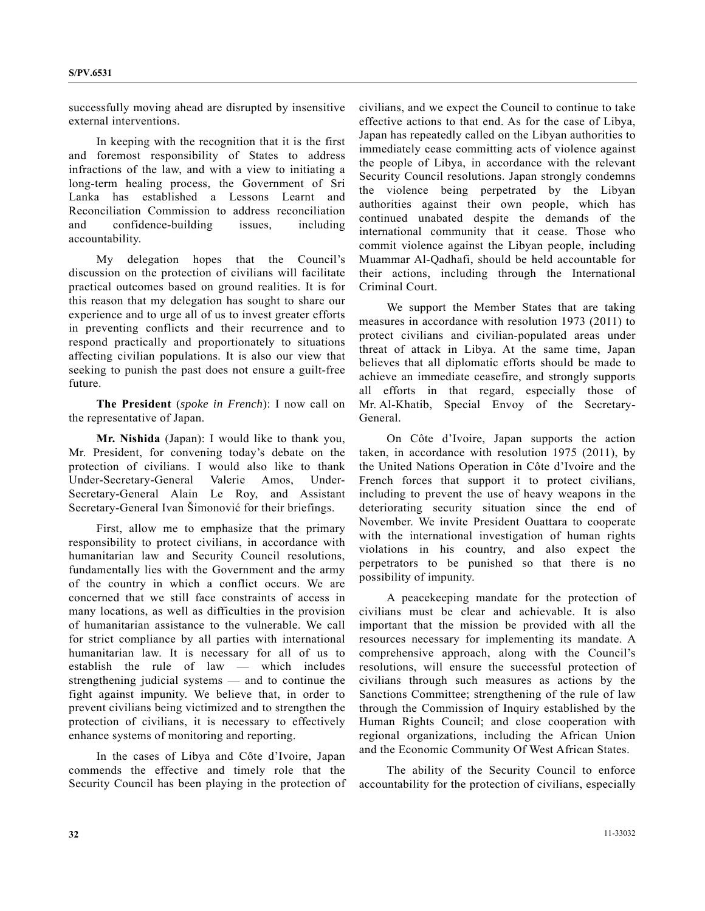successfully moving ahead are disrupted by insensitive external interventions.

 In keeping with the recognition that it is the first and foremost responsibility of States to address infractions of the law, and with a view to initiating a long-term healing process, the Government of Sri Lanka has established a Lessons Learnt and Reconciliation Commission to address reconciliation and confidence-building issues, including accountability.

 My delegation hopes that the Council's discussion on the protection of civilians will facilitate practical outcomes based on ground realities. It is for this reason that my delegation has sought to share our experience and to urge all of us to invest greater efforts in preventing conflicts and their recurrence and to respond practically and proportionately to situations affecting civilian populations. It is also our view that seeking to punish the past does not ensure a guilt-free future.

**The President** (*spoke in French*): I now call on the representative of Japan.

**Mr. Nishida** (Japan): I would like to thank you, Mr. President, for convening today's debate on the protection of civilians. I would also like to thank Under-Secretary-General Valerie Amos, Under-Secretary-General Alain Le Roy, and Assistant Secretary-General Ivan Šimonović for their briefings.

 First, allow me to emphasize that the primary responsibility to protect civilians, in accordance with humanitarian law and Security Council resolutions, fundamentally lies with the Government and the army of the country in which a conflict occurs. We are concerned that we still face constraints of access in many locations, as well as difficulties in the provision of humanitarian assistance to the vulnerable. We call for strict compliance by all parties with international humanitarian law. It is necessary for all of us to establish the rule of law — which includes strengthening judicial systems — and to continue the fight against impunity. We believe that, in order to prevent civilians being victimized and to strengthen the protection of civilians, it is necessary to effectively enhance systems of monitoring and reporting.

 In the cases of Libya and Côte d'Ivoire, Japan commends the effective and timely role that the Security Council has been playing in the protection of civilians, and we expect the Council to continue to take effective actions to that end. As for the case of Libya, Japan has repeatedly called on the Libyan authorities to immediately cease committing acts of violence against the people of Libya, in accordance with the relevant Security Council resolutions. Japan strongly condemns the violence being perpetrated by the Libyan authorities against their own people, which has continued unabated despite the demands of the international community that it cease. Those who commit violence against the Libyan people, including Muammar Al-Qadhafi, should be held accountable for their actions, including through the International Criminal Court.

 We support the Member States that are taking measures in accordance with resolution 1973 (2011) to protect civilians and civilian-populated areas under threat of attack in Libya. At the same time, Japan believes that all diplomatic efforts should be made to achieve an immediate ceasefire, and strongly supports all efforts in that regard, especially those of Mr. Al-Khatib, Special Envoy of the Secretary-General.

 On Côte d'Ivoire, Japan supports the action taken, in accordance with resolution 1975 (2011), by the United Nations Operation in Côte d'Ivoire and the French forces that support it to protect civilians, including to prevent the use of heavy weapons in the deteriorating security situation since the end of November. We invite President Ouattara to cooperate with the international investigation of human rights violations in his country, and also expect the perpetrators to be punished so that there is no possibility of impunity.

 A peacekeeping mandate for the protection of civilians must be clear and achievable. It is also important that the mission be provided with all the resources necessary for implementing its mandate. A comprehensive approach, along with the Council's resolutions, will ensure the successful protection of civilians through such measures as actions by the Sanctions Committee; strengthening of the rule of law through the Commission of Inquiry established by the Human Rights Council; and close cooperation with regional organizations, including the African Union and the Economic Community Of West African States.

 The ability of the Security Council to enforce accountability for the protection of civilians, especially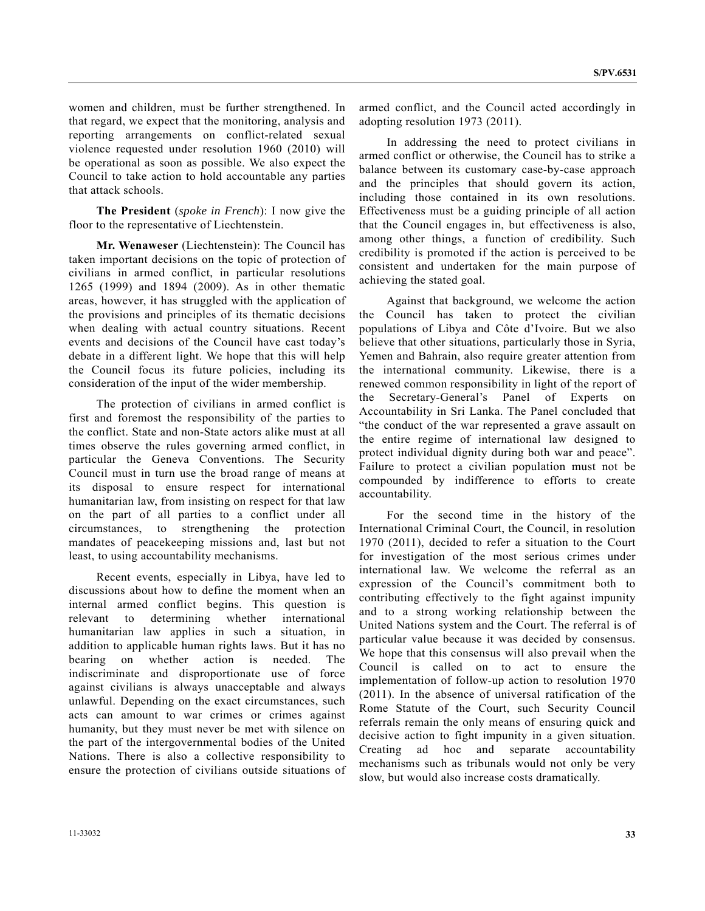women and children, must be further strengthened. In that regard, we expect that the monitoring, analysis and reporting arrangements on conflict-related sexual violence requested under resolution 1960 (2010) will be operational as soon as possible. We also expect the Council to take action to hold accountable any parties that attack schools.

**The President** (*spoke in French*): I now give the floor to the representative of Liechtenstein.

**Mr. Wenaweser** (Liechtenstein): The Council has taken important decisions on the topic of protection of civilians in armed conflict, in particular resolutions 1265 (1999) and 1894 (2009). As in other thematic areas, however, it has struggled with the application of the provisions and principles of its thematic decisions when dealing with actual country situations. Recent events and decisions of the Council have cast today's debate in a different light. We hope that this will help the Council focus its future policies, including its consideration of the input of the wider membership.

 The protection of civilians in armed conflict is first and foremost the responsibility of the parties to the conflict. State and non-State actors alike must at all times observe the rules governing armed conflict, in particular the Geneva Conventions. The Security Council must in turn use the broad range of means at its disposal to ensure respect for international humanitarian law, from insisting on respect for that law on the part of all parties to a conflict under all circumstances, to strengthening the protection mandates of peacekeeping missions and, last but not least, to using accountability mechanisms.

 Recent events, especially in Libya, have led to discussions about how to define the moment when an internal armed conflict begins. This question is relevant to determining whether international humanitarian law applies in such a situation, in addition to applicable human rights laws. But it has no bearing on whether action is needed. The indiscriminate and disproportionate use of force against civilians is always unacceptable and always unlawful. Depending on the exact circumstances, such acts can amount to war crimes or crimes against humanity, but they must never be met with silence on the part of the intergovernmental bodies of the United Nations. There is also a collective responsibility to ensure the protection of civilians outside situations of armed conflict, and the Council acted accordingly in adopting resolution 1973 (2011).

 In addressing the need to protect civilians in armed conflict or otherwise, the Council has to strike a balance between its customary case-by-case approach and the principles that should govern its action, including those contained in its own resolutions. Effectiveness must be a guiding principle of all action that the Council engages in, but effectiveness is also, among other things, a function of credibility. Such credibility is promoted if the action is perceived to be consistent and undertaken for the main purpose of achieving the stated goal.

 Against that background, we welcome the action the Council has taken to protect the civilian populations of Libya and Côte d'Ivoire. But we also believe that other situations, particularly those in Syria, Yemen and Bahrain, also require greater attention from the international community. Likewise, there is a renewed common responsibility in light of the report of the Secretary-General's Panel of Experts on Accountability in Sri Lanka. The Panel concluded that "the conduct of the war represented a grave assault on the entire regime of international law designed to protect individual dignity during both war and peace". Failure to protect a civilian population must not be compounded by indifference to efforts to create accountability.

 For the second time in the history of the International Criminal Court, the Council, in resolution 1970 (2011), decided to refer a situation to the Court for investigation of the most serious crimes under international law. We welcome the referral as an expression of the Council's commitment both to contributing effectively to the fight against impunity and to a strong working relationship between the United Nations system and the Court. The referral is of particular value because it was decided by consensus. We hope that this consensus will also prevail when the Council is called on to act to ensure the implementation of follow-up action to resolution 1970 (2011). In the absence of universal ratification of the Rome Statute of the Court, such Security Council referrals remain the only means of ensuring quick and decisive action to fight impunity in a given situation. Creating ad hoc and separate accountability mechanisms such as tribunals would not only be very slow, but would also increase costs dramatically.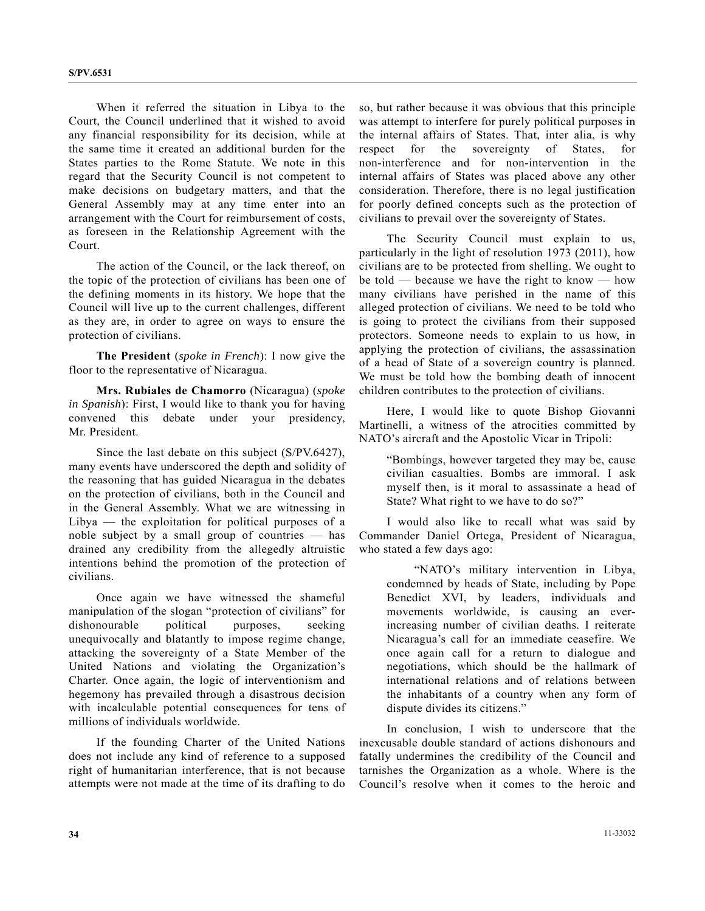When it referred the situation in Libya to the Court, the Council underlined that it wished to avoid any financial responsibility for its decision, while at the same time it created an additional burden for the States parties to the Rome Statute. We note in this regard that the Security Council is not competent to make decisions on budgetary matters, and that the General Assembly may at any time enter into an arrangement with the Court for reimbursement of costs, as foreseen in the Relationship Agreement with the Court.

 The action of the Council, or the lack thereof, on the topic of the protection of civilians has been one of the defining moments in its history. We hope that the Council will live up to the current challenges, different as they are, in order to agree on ways to ensure the protection of civilians.

**The President** (*spoke in French*): I now give the floor to the representative of Nicaragua.

**Mrs. Rubiales de Chamorro** (Nicaragua) (*spoke in Spanish*): First, I would like to thank you for having convened this debate under your presidency, Mr. President.

 Since the last debate on this subject (S/PV.6427), many events have underscored the depth and solidity of the reasoning that has guided Nicaragua in the debates on the protection of civilians, both in the Council and in the General Assembly. What we are witnessing in  $Libya$  — the exploitation for political purposes of a noble subject by a small group of countries — has drained any credibility from the allegedly altruistic intentions behind the promotion of the protection of civilians.

 Once again we have witnessed the shameful manipulation of the slogan "protection of civilians" for dishonourable political purposes, seeking unequivocally and blatantly to impose regime change, attacking the sovereignty of a State Member of the United Nations and violating the Organization's Charter. Once again, the logic of interventionism and hegemony has prevailed through a disastrous decision with incalculable potential consequences for tens of millions of individuals worldwide.

 If the founding Charter of the United Nations does not include any kind of reference to a supposed right of humanitarian interference, that is not because attempts were not made at the time of its drafting to do so, but rather because it was obvious that this principle was attempt to interfere for purely political purposes in the internal affairs of States. That, inter alia, is why respect for the sovereignty of States, for non-interference and for non-intervention in the internal affairs of States was placed above any other consideration. Therefore, there is no legal justification for poorly defined concepts such as the protection of civilians to prevail over the sovereignty of States.

 The Security Council must explain to us, particularly in the light of resolution 1973 (2011), how civilians are to be protected from shelling. We ought to be told — because we have the right to know — how many civilians have perished in the name of this alleged protection of civilians. We need to be told who is going to protect the civilians from their supposed protectors. Someone needs to explain to us how, in applying the protection of civilians, the assassination of a head of State of a sovereign country is planned. We must be told how the bombing death of innocent children contributes to the protection of civilians.

 Here, I would like to quote Bishop Giovanni Martinelli, a witness of the atrocities committed by NATO's aircraft and the Apostolic Vicar in Tripoli:

 "Bombings, however targeted they may be, cause civilian casualties. Bombs are immoral. I ask myself then, is it moral to assassinate a head of State? What right to we have to do so?"

 I would also like to recall what was said by Commander Daniel Ortega, President of Nicaragua, who stated a few days ago:

 "NATO's military intervention in Libya, condemned by heads of State, including by Pope Benedict XVI, by leaders, individuals and movements worldwide, is causing an everincreasing number of civilian deaths. I reiterate Nicaragua's call for an immediate ceasefire. We once again call for a return to dialogue and negotiations, which should be the hallmark of international relations and of relations between the inhabitants of a country when any form of dispute divides its citizens."

 In conclusion, I wish to underscore that the inexcusable double standard of actions dishonours and fatally undermines the credibility of the Council and tarnishes the Organization as a whole. Where is the Council's resolve when it comes to the heroic and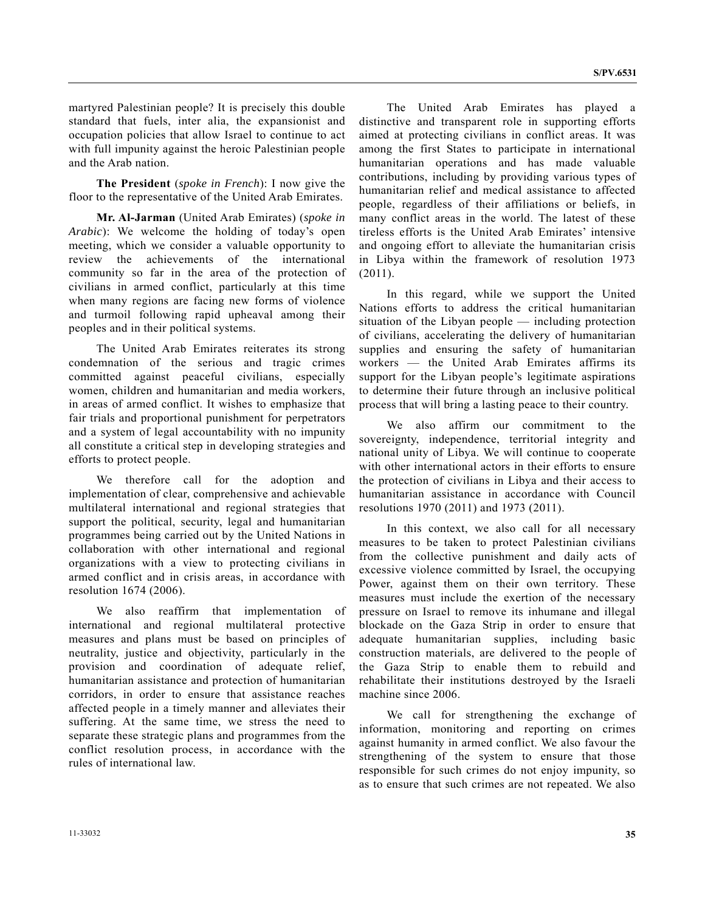martyred Palestinian people? It is precisely this double standard that fuels, inter alia, the expansionist and occupation policies that allow Israel to continue to act with full impunity against the heroic Palestinian people and the Arab nation.

**The President** (*spoke in French*): I now give the floor to the representative of the United Arab Emirates.

**Mr. Al-Jarman** (United Arab Emirates) (*spoke in Arabic*): We welcome the holding of today's open meeting, which we consider a valuable opportunity to review the achievements of the international community so far in the area of the protection of civilians in armed conflict, particularly at this time when many regions are facing new forms of violence and turmoil following rapid upheaval among their peoples and in their political systems.

 The United Arab Emirates reiterates its strong condemnation of the serious and tragic crimes committed against peaceful civilians, especially women, children and humanitarian and media workers, in areas of armed conflict. It wishes to emphasize that fair trials and proportional punishment for perpetrators and a system of legal accountability with no impunity all constitute a critical step in developing strategies and efforts to protect people.

 We therefore call for the adoption and implementation of clear, comprehensive and achievable multilateral international and regional strategies that support the political, security, legal and humanitarian programmes being carried out by the United Nations in collaboration with other international and regional organizations with a view to protecting civilians in armed conflict and in crisis areas, in accordance with resolution 1674 (2006).

 We also reaffirm that implementation of international and regional multilateral protective measures and plans must be based on principles of neutrality, justice and objectivity, particularly in the provision and coordination of adequate relief, humanitarian assistance and protection of humanitarian corridors, in order to ensure that assistance reaches affected people in a timely manner and alleviates their suffering. At the same time, we stress the need to separate these strategic plans and programmes from the conflict resolution process, in accordance with the rules of international law.

 The United Arab Emirates has played a distinctive and transparent role in supporting efforts aimed at protecting civilians in conflict areas. It was among the first States to participate in international humanitarian operations and has made valuable contributions, including by providing various types of humanitarian relief and medical assistance to affected people, regardless of their affiliations or beliefs, in many conflict areas in the world. The latest of these tireless efforts is the United Arab Emirates' intensive and ongoing effort to alleviate the humanitarian crisis in Libya within the framework of resolution 1973 (2011).

 In this regard, while we support the United Nations efforts to address the critical humanitarian situation of the Libyan people — including protection of civilians, accelerating the delivery of humanitarian supplies and ensuring the safety of humanitarian workers — the United Arab Emirates affirms its support for the Libyan people's legitimate aspirations to determine their future through an inclusive political process that will bring a lasting peace to their country.

 We also affirm our commitment to the sovereignty, independence, territorial integrity and national unity of Libya. We will continue to cooperate with other international actors in their efforts to ensure the protection of civilians in Libya and their access to humanitarian assistance in accordance with Council resolutions 1970 (2011) and 1973 (2011).

 In this context, we also call for all necessary measures to be taken to protect Palestinian civilians from the collective punishment and daily acts of excessive violence committed by Israel, the occupying Power, against them on their own territory. These measures must include the exertion of the necessary pressure on Israel to remove its inhumane and illegal blockade on the Gaza Strip in order to ensure that adequate humanitarian supplies, including basic construction materials, are delivered to the people of the Gaza Strip to enable them to rebuild and rehabilitate their institutions destroyed by the Israeli machine since 2006.

 We call for strengthening the exchange of information, monitoring and reporting on crimes against humanity in armed conflict. We also favour the strengthening of the system to ensure that those responsible for such crimes do not enjoy impunity, so as to ensure that such crimes are not repeated. We also